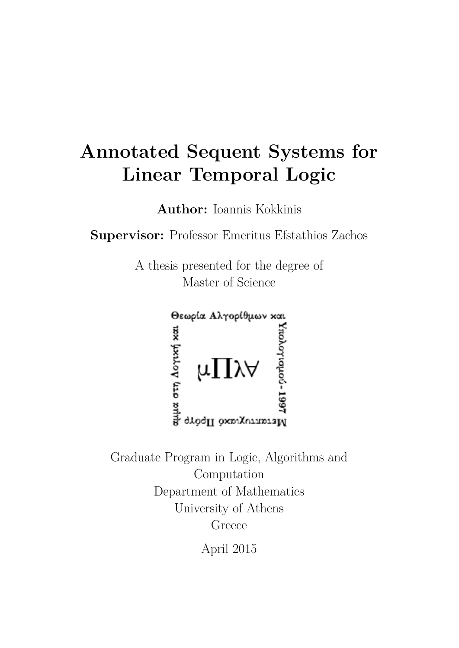# **Annotated Sequent Systems for Linear Temporal Logic**

**Author:** Ioannis Kokkinis

**Supervisor:** Professor Emeritus Efstathios Zachos

A thesis presented for the degree of Master of Science



Graduate Program in Logic, Algorithms and Computation Department of Mathematics University of Athens Greece

April 2015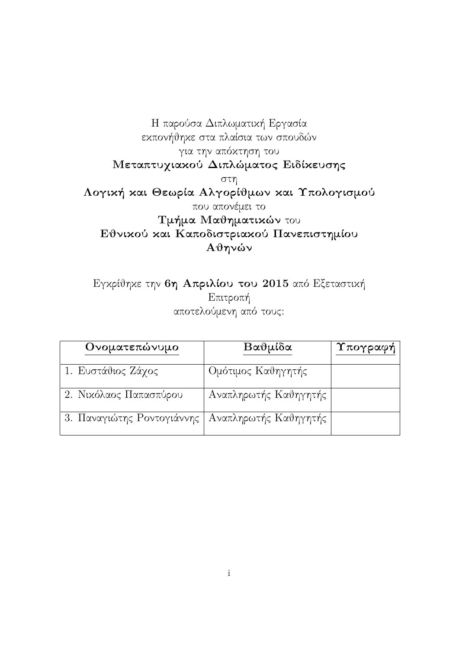Η παρούσα Διπλωματική Εργασία εκπονήθηκε στα πλαίσια των σπουδών για την απόκτηση του Μεταπτυχιακού Διπλώματος Ειδίκευσης στη Λογική και Θεωρία Αλγορίθμων και Υπολογισμού που απονέμει το Τμήμα Μαθηματικών του Εθνικού και Καποδιστριακού Πανεπιστημίου Αθηνών

Εγκρίθηκε την 6η Απριλίου του 2015 από Εξεταστική Επιτροπή αποτελούμενη από τους:

| Ονοματεπώνυμο              | Βαθμίδα               | Υπογραφή |
|----------------------------|-----------------------|----------|
| 1. Ευστάθιος Ζάχος         | Ομότιμος Καθηγητής    |          |
| 2. Νικόλαος Παπασπύρου     | Αναπληρωτής Καθηγητής |          |
| 3. Παναγιώτης Ροντογιάννης | Αναπληρωτής Καθηγητής |          |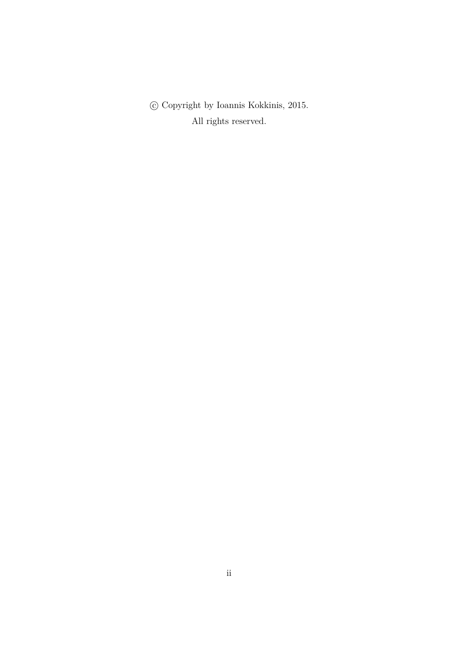c Copyright by Ioannis Kokkinis, 2015. All rights reserved.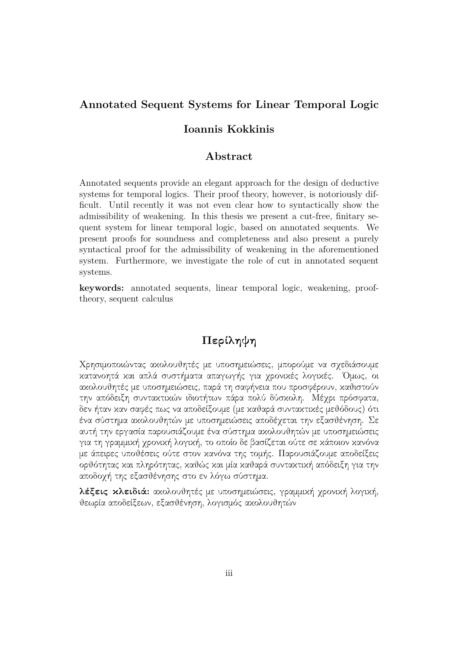#### <span id="page-3-0"></span>**Annotated Sequent Systems for Linear Temporal Logic**

#### **Ioannis Kokkinis**

#### **Abstract**

Annotated sequents provide an elegant approach for the design of deductive systems for temporal logics. Their proof theory, however, is notoriously difficult. Until recently it was not even clear how to syntactically show the admissibility of weakening. In this thesis we present a cut-free, finitary sequent system for linear temporal logic, based on annotated sequents. We present proofs for soundness and completeness and also present a purely syntactical proof for the admissibility of weakening in the aforementioned system. Furthermore, we investigate the role of cut in annotated sequent systems.

**keywords:** annotated sequents, linear temporal logic, weakening, prooftheory, sequent calculus

#### Περίληψη

Χρησιμοποιώντας ακολουθητές με υποσημειώσεις, μπορούμε να σχεδιάσουμε κατανοητά και απλά συστήματα απαγωγής για χρονικές λογικές. ΄Ομως, οι ακολουθητές με υποσημειώσεις, παρά τη σαφήνεια που προσφέρουν, καθιστούν την απόδειξη συντακτικών ιδιοτήτων πάρα πολύ δύσκολη. Μέχρι πρόσφατα, δεν ήταν καν σαφές πως να αποδείξουμε (με καθαρά συντακτικές μεθόδους) ότι ένα σύστημα ακολουθητών με υποσημειώσεις αποδέχεται την εξασθένηση. Σε αυτή την εργασία παρουσιάζουμε ένα σύστημα ακολουθητών με υποσημειώσεις για τη γραμμική χρονική λογική, το οποίο δε βασίζεται ούτε σε κάποιον κανόνα με άπειρες υποθέσεις ούτε στον κανόνα της τομής. Παρουσιάζουμε αποδείξεις ορθότητας και πληρότητας, καθώς και μία καθαρά συντακτική απόδειξη για την αποδοχή της εξασθένησης στο εν λόγω σύστημα.

λέξεις κλειδιά: ακολουθητές με υποσημειώσεις, γραμμική χρονική λογική, θεωρία αποδείξεων, εξασθένηση, λογισμός ακολουθητών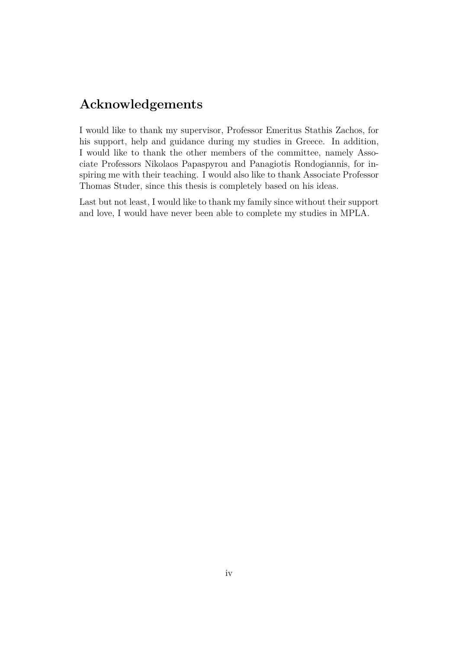### <span id="page-4-0"></span>**Acknowledgements**

I would like to thank my supervisor, Professor Emeritus Stathis Zachos, for his support, help and guidance during my studies in Greece. In addition, I would like to thank the other members of the committee, namely Associate Professors Nikolaos Papaspyrou and Panagiotis Rondogiannis, for inspiring me with their teaching. I would also like to thank Associate Professor Thomas Studer, since this thesis is completely based on his ideas.

Last but not least, I would like to thank my family since without their support and love, I would have never been able to complete my studies in MPLA.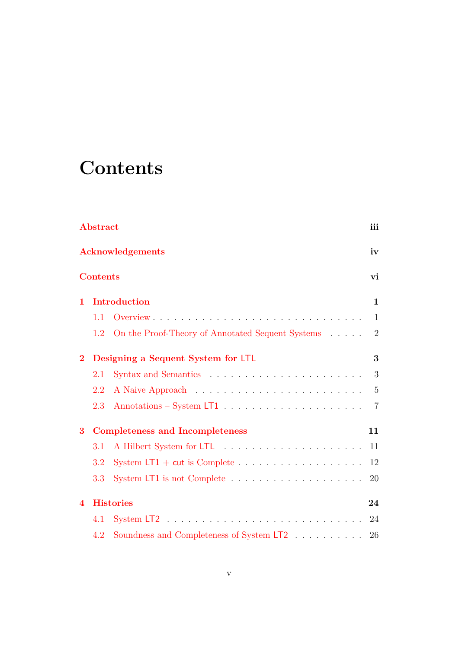## <span id="page-5-0"></span>**Contents**

|                          | Abstract        |                                                                    | iii            |
|--------------------------|-----------------|--------------------------------------------------------------------|----------------|
|                          |                 | <b>Acknowledgements</b>                                            | iv             |
|                          | <b>Contents</b> |                                                                    | vi             |
| 1                        |                 | <b>Introduction</b>                                                | $\mathbf{1}$   |
|                          | 1.1             |                                                                    | 1              |
|                          | 1.2             | On the Proof-Theory of Annotated Sequent Systems                   | $\overline{2}$ |
| $\bf{2}$                 |                 | Designing a Sequent System for LTL                                 | 3              |
|                          | 2.1             |                                                                    | 3              |
|                          | 2.2             |                                                                    | $\overline{5}$ |
|                          | 2.3             |                                                                    | $\overline{7}$ |
| 3                        |                 | <b>Completeness and Incompleteness</b>                             | 11             |
|                          | 3.1             |                                                                    | 11             |
|                          | 3.2             | System LT1 + cut is Complete $\dots \dots \dots \dots \dots \dots$ | 12             |
|                          | 3.3             |                                                                    | 20             |
| $\overline{\mathcal{A}}$ |                 | <b>Histories</b>                                                   | 24             |
|                          | 4.1             |                                                                    | 24             |
|                          | 4.2             | Soundness and Completeness of System LT2 $\ldots \ldots \ldots$    | 26             |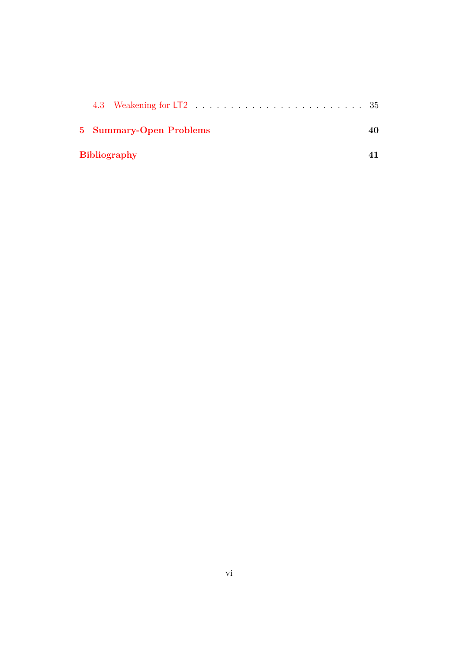| 5 Summary-Open Problems |  |
|-------------------------|--|
| <b>Bibliography</b>     |  |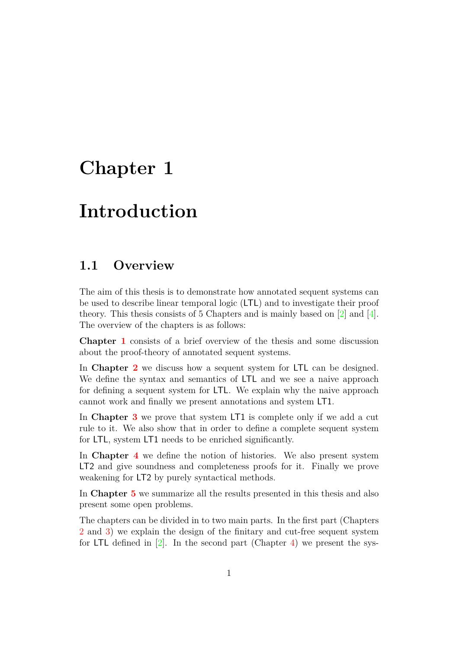### <span id="page-7-2"></span><span id="page-7-0"></span>**Chapter 1**

## **Introduction**

#### <span id="page-7-1"></span>**1.1 Overview**

The aim of this thesis is to demonstrate how annotated sequent systems can be used to describe linear temporal logic (LTL) and to investigate their proof theory. This thesis consists of 5 Chapters and is mainly based on [\[2\]](#page-47-1) and [\[4\]](#page-47-2). The overview of the chapters is as follows:

**Chapter [1](#page-7-0)** consists of a brief overview of the thesis and some discussion about the proof-theory of annotated sequent systems.

In **Chapter [2](#page-9-0)** we discuss how a sequent system for LTL can be designed. We define the syntax and semantics of LTL and we see a naive approach for defining a sequent system for LTL. We explain why the naive approach cannot work and finally we present annotations and system LT1.

In **Chapter [3](#page-17-0)** we prove that system LT1 is complete only if we add a cut rule to it. We also show that in order to define a complete sequent system for LTL, system LT1 needs to be enriched significantly.

In **Chapter [4](#page-30-0)** we define the notion of histories. We also present system LT2 and give soundness and completeness proofs for it. Finally we prove weakening for LT2 by purely syntactical methods.

In **Chapter [5](#page-46-0)** we summarize all the results presented in this thesis and also present some open problems.

The chapters can be divided in to two main parts. In the first part (Chapters [2](#page-9-0) and [3\)](#page-17-0) we explain the design of the finitary and cut-free sequent system for LTL defined in  $[2]$ . In the second part (Chapter [4\)](#page-30-0) we present the sys-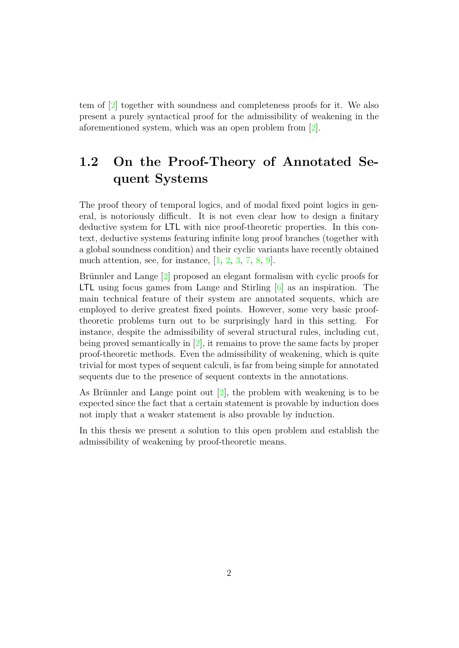<span id="page-8-1"></span>tem of [\[2\]](#page-47-1) together with soundness and completeness proofs for it. We also present a purely syntactical proof for the admissibility of weakening in the aforementioned system, which was an open problem from [\[2\]](#page-47-1).

### <span id="page-8-0"></span>**1.2 On the Proof-Theory of Annotated Sequent Systems**

The proof theory of temporal logics, and of modal fixed point logics in general, is notoriously difficult. It is not even clear how to design a finitary deductive system for LTL with nice proof-theoretic properties. In this context, deductive systems featuring infinite long proof branches (together with a global soundness condition) and their cyclic variants have recently obtained much attention, see, for instance,  $[1, 2, 3, 7, 8, 9]$  $[1, 2, 3, 7, 8, 9]$  $[1, 2, 3, 7, 8, 9]$  $[1, 2, 3, 7, 8, 9]$  $[1, 2, 3, 7, 8, 9]$  $[1, 2, 3, 7, 8, 9]$  $[1, 2, 3, 7, 8, 9]$  $[1, 2, 3, 7, 8, 9]$  $[1, 2, 3, 7, 8, 9]$  $[1, 2, 3, 7, 8, 9]$ .

Brünnler and Lange  $[2]$  proposed an elegant formalism with cyclic proofs for LTL using focus games from Lange and Stirling [\[6\]](#page-47-8) as an inspiration. The main technical feature of their system are annotated sequents, which are employed to derive greatest fixed points. However, some very basic prooftheoretic problems turn out to be surprisingly hard in this setting. For instance, despite the admissibility of several structural rules, including cut, being proved semantically in  $[2]$ , it remains to prove the same facts by proper proof-theoretic methods. Even the admissibility of weakening, which is quite trivial for most types of sequent calculi, is far from being simple for annotated sequents due to the presence of sequent contexts in the annotations.

As Brünnler and Lange point out  $[2]$ , the problem with weakening is to be expected since the fact that a certain statement is provable by induction does not imply that a weaker statement is also provable by induction.

In this thesis we present a solution to this open problem and establish the admissibility of weakening by proof-theoretic means.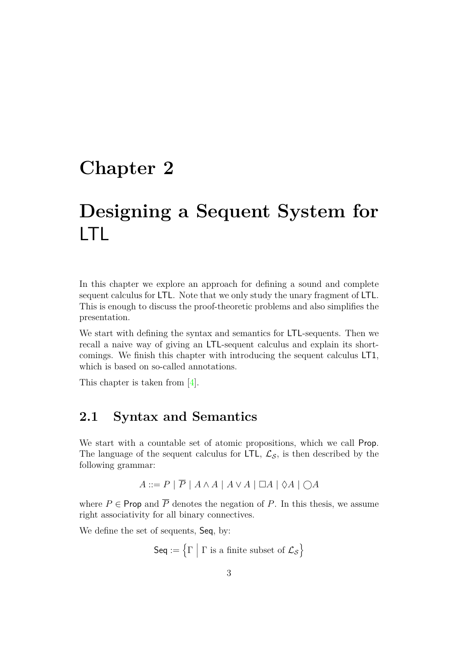### <span id="page-9-2"></span><span id="page-9-0"></span>**Chapter 2**

## **Designing a Sequent System for** LTL

In this chapter we explore an approach for defining a sound and complete sequent calculus for LTL. Note that we only study the unary fragment of LTL. This is enough to discuss the proof-theoretic problems and also simplifies the presentation.

We start with defining the syntax and semantics for LTL-sequents. Then we recall a naive way of giving an LTL-sequent calculus and explain its shortcomings. We finish this chapter with introducing the sequent calculus LT1, which is based on so-called annotations.

This chapter is taken from [\[4\]](#page-47-2).

### <span id="page-9-1"></span>**2.1 Syntax and Semantics**

We start with a countable set of atomic propositions, which we call Prop. The language of the sequent calculus for LTL,  $\mathcal{L}_{\mathcal{S}}$ , is then described by the following grammar:

*A* ::=  $P$  |  $\overline{P}$  |  $A \wedge A$  |  $A \vee A$  | □ $A$  | ◇ $A$  | ○ $A$ 

where  $P \in \text{Prop}$  and  $\overline{P}$  denotes the negation of P. In this thesis, we assume right associativity for all binary connectives.

We define the set of sequents, Seq, by:

$$
\mathsf{Seq} := \left\{ \Gamma \mid \Gamma \text{ is a finite subset of } \mathcal{L}_{\mathcal{S}} \right\}
$$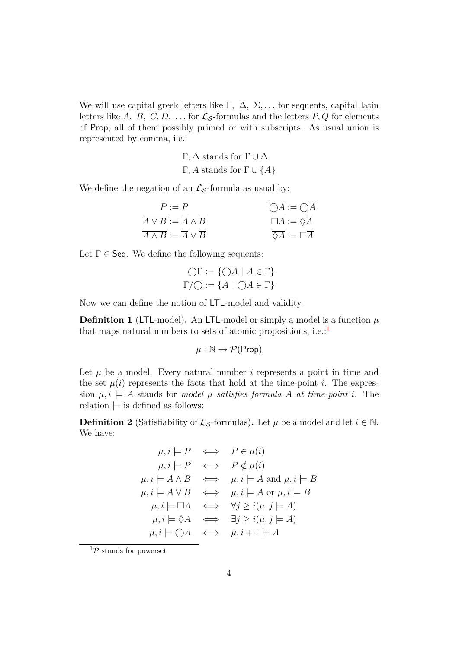We will use capital greek letters like Γ*,* ∆*,* Σ*, . . .* for sequents, capital latin letters like A, B, C, D, ... for  $\mathcal{L}_{\mathcal{S}}$ -formulas and the letters P, Q for elements of Prop, all of them possibly primed or with subscripts. As usual union is represented by comma, i.e.:

> Γ,  $\Delta$  stands for  $Γ ∪ ∆$ Γ, *A* stands for  $Γ ∪ {A}$

We define the negation of an  $\mathcal{L}_{\mathcal{S}}$ -formula as usual by:

| $\overline{P} := P$                                       | $\bigcirc A := \bigcirc A$                   |
|-----------------------------------------------------------|----------------------------------------------|
| $\overline{A \vee B} := \overline{A} \wedge \overline{B}$ | $\overline{\Box A} := \Diamond \overline{A}$ |
| $\overline{A \wedge B} := \overline{A} \vee \overline{B}$ | $\overline{\Diamond A} := \Box \overline{A}$ |

Let  $\Gamma \in \mathsf{Seq}$ . We define the following sequents:

$$
\bigcirc \Gamma := \{ \bigcirc A \mid A \in \Gamma \}
$$

$$
\Gamma / \bigcirc := \{ A \mid \bigcirc A \in \Gamma \}
$$

Now we can define the notion of LTL-model and validity.

**Definition 1** (LTL-model). An LTL-model or simply a model is a function  $\mu$ that maps natural numbers to sets of atomic propositions, i.e.:<sup>[1](#page-10-0)</sup>

$$
\mu: \mathbb{N} \to \mathcal{P}(\mathsf{Prop})
$$

Let  $\mu$  be a model. Every natural number  $i$  represents a point in time and the set  $\mu(i)$  represents the facts that hold at the time-point *i*. The expression  $\mu, i \models A$  stands for *model*  $\mu$  *satisfies formula*  $A$  *at time-point i*. The relation  $\models$  is defined as follows:

**Definition 2** (Satisfiability of  $\mathcal{L}_{\mathcal{S}}$ -formulas). Let  $\mu$  be a model and let  $i \in \mathbb{N}$ . We have:

$$
\mu, i \models P \iff P \in \mu(i)
$$
  
\n
$$
\mu, i \models \overline{P} \iff P \notin \mu(i)
$$
  
\n
$$
\mu, i \models A \land B \iff \mu, i \models A \text{ and } \mu, i \models B
$$
  
\n
$$
\mu, i \models A \lor B \iff \mu, i \models A \text{ or } \mu, i \models B
$$
  
\n
$$
\mu, i \models \Box A \iff \forall j \geq i(\mu, j \models A)
$$
  
\n
$$
\mu, i \models \Diamond A \iff \exists j \geq i(\mu, j \models A)
$$
  
\n
$$
\mu, i \models \bigcirc A \iff \mu, i + 1 \models A
$$

<span id="page-10-0"></span> ${}^1\mathcal{P}$  stands for powerset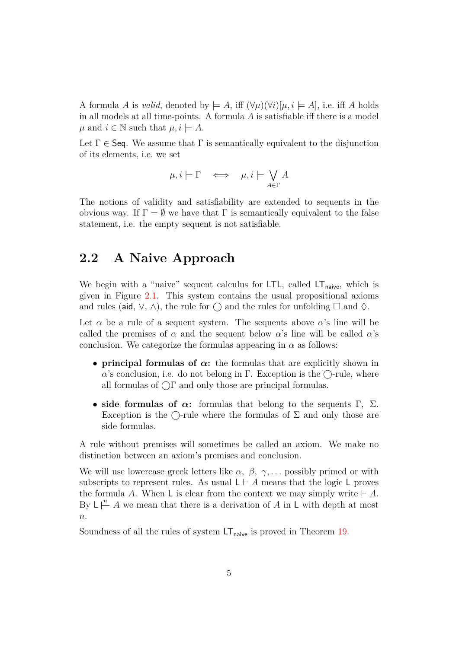A formula *A* is *valid*, denoted by  $\models A$ , iff  $(\forall \mu)(\forall i)[\mu, i \models A]$ , i.e. iff *A* holds in all models at all time-points. A formula *A* is satisfiable iff there is a model *µ* and *i* ∈  $\mathbb N$  such that  $\mu, i \models A$ .

Let  $\Gamma \in \mathsf{Seq}$ . We assume that  $\Gamma$  is semantically equivalent to the disjunction of its elements, i.e. we set

$$
\mu, i \models \Gamma \iff \mu, i \models \bigvee_{A \in \Gamma} A
$$

The notions of validity and satisfiability are extended to sequents in the obvious way. If  $\Gamma = \emptyset$  we have that  $\Gamma$  is semantically equivalent to the false statement, i.e. the empty sequent is not satisfiable.

#### <span id="page-11-0"></span>**2.2 A Naive Approach**

We begin with a "naive" sequent calculus for  $LTL$ , called  $LT<sub>naive</sub>$ , which is given in Figure [2.1.](#page-12-0) This system contains the usual propositional axioms and rules (aid,  $\vee$ ,  $\wedge$ ), the rule for  $\bigcap$  and the rules for unfolding  $\square$  and  $\lozenge$ .

Let  $\alpha$  be a rule of a sequent system. The sequents above  $\alpha$ 's line will be called the premises of  $\alpha$  and the sequent below  $\alpha$ 's line will be called  $\alpha$ 's conclusion. We categorize the formulas appearing in  $\alpha$  as follows:

- **principal formulas of** *α***:** the formulas that are explicitly shown in  $\alpha$ 's conclusion, i.e. do not belong in  $\Gamma$ . Exception is the  $\bigcirc$ -rule, where all formulas of  $\bigcap$  and only those are principal formulas.
- side formulas of  $\alpha$ : formulas that belong to the sequents Γ, Σ. Exception is the  $\bigcirc$ -rule where the formulas of  $\Sigma$  and only those are side formulas.

A rule without premises will sometimes be called an axiom. We make no distinction between an axiom's premises and conclusion.

We will use lowercase greek letters like  $\alpha$ ,  $\beta$ ,  $\gamma$ ,... possibly primed or with subscripts to represent rules. As usual  $L \vdash A$  means that the logic L proves the formula A. When L is clear from the context we may simply write  $\vdash A$ . By  $\mathsf{L} \stackrel{n}{\leftarrow} A$  we mean that there is a derivation of *A* in **L** with depth at most *n*.

Soundness of all the rules of system  $LT_{\text{naive}}$  is proved in Theorem [19.](#page-33-0)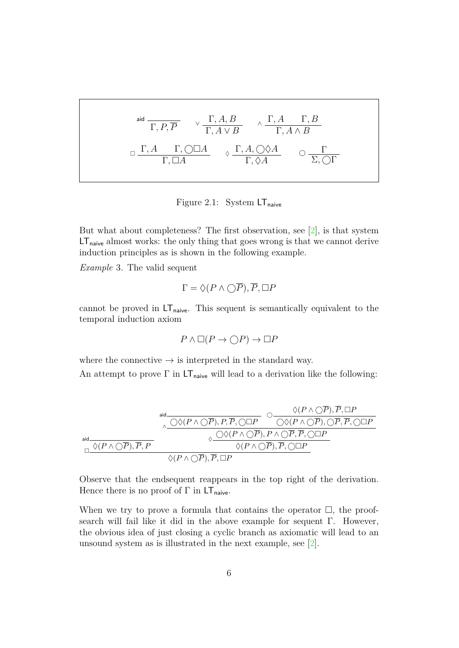<span id="page-12-2"></span><span id="page-12-0"></span>
$$
\begin{array}{ccccc}\n\text{aid} & & \sqrt{\Gamma, A, B} & \wedge \frac{\Gamma, A & \Gamma, B}{\Gamma, A \vee B} \\
\Box & \frac{\Gamma, A & \Gamma, \bigcirc \Box A}{\Gamma, \Box A} & \varphi & \frac{\Gamma, A, \bigcirc \Diamond A}{\Gamma, \Diamond A} & \bigcirc & \frac{\Gamma}{\Sigma, \bigcirc \Gamma}\n\end{array}
$$

Figure 2.1: System  $LT_{\text{naive}}$ 

But what about completeness? The first observation, see [\[2\]](#page-47-1), is that system LT<sub>naive</sub> almost works: the only thing that goes wrong is that we cannot derive induction principles as is shown in the following example.

<span id="page-12-1"></span>*Example* 3*.* The valid sequent

$$
\Gamma = \Diamond (P \land \bigcirc \overline{P}), \overline{P}, \Box P
$$

cannot be proved in  $LT_{\text{naive}}$ . This sequent is semantically equivalent to the temporal induction axiom

$$
P \land \Box(P \to \bigcirc P) \to \Box P
$$

where the connective  $\rightarrow$  is interpreted in the standard way.

An attempt to prove  $\Gamma$  in  $LT_{\text{naive}}$  will lead to a derivation like the following:

$$
\begin{array}{cc}\text{aid} & \Diamond (P \land \bigcirc \overline{P}), \overline{P}, \bigcirc \Box P \\ & \Diamond \bigcirc (P \land \bigcirc \overline{P}), P, \overline{P}, \bigcirc \Box P & \bigcirc \bigcirc (P \land \bigcirc \overline{P}), \overline{P}, \Box P \\ & \Diamond \bigcirc (P \land \bigcirc \overline{P}), \overline{P}, \bigcirc \Box P & \Diamond \bigcirc (P \land \bigcirc \overline{P}), \overline{P}, \bigcirc \Box P \\ & \Diamond \bigcirc (P \land \bigcirc \overline{P}), \overline{P}, \Box & \Diamond \bigcirc (P \land \bigcirc \overline{P}), \overline{P}, \bigcirc \Box P \\ & \Diamond (P \land \bigcirc \overline{P}), \overline{P}, \Box P & \Diamond \bigcirc (P \land \bigcirc \overline{P}), \overline{P}, \bigcirc \Box P\end{array}
$$

Observe that the endsequent reappears in the top right of the derivation. Hence there is no proof of  $\Gamma$  in  $LT_{\text{naive}}$ .

When we try to prove a formula that contains the operator  $\Box$ , the proofsearch will fail like it did in the above example for sequent Γ. However, the obvious idea of just closing a cyclic branch as axiomatic will lead to an unsound system as is illustrated in the next example, see [\[2\]](#page-47-1).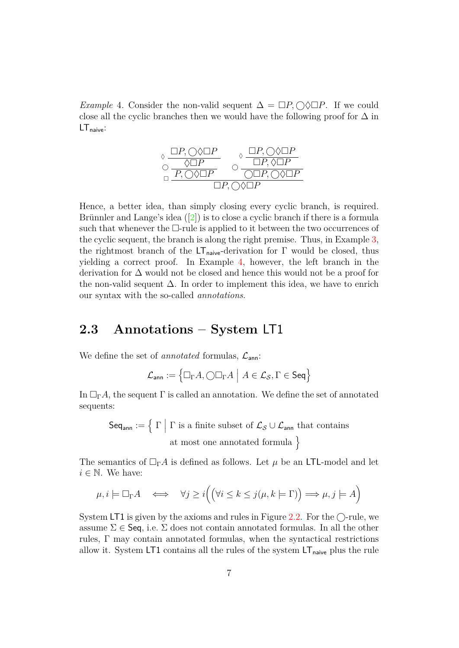<span id="page-13-2"></span><span id="page-13-1"></span>*Example* 4. Consider the non-valid sequent  $\Delta = \Box P$ ,  $\Diamond \Diamond \Box P$ . If we could close all the cyclic branches then we would have the following proof for  $\Delta$  in  $LT_{naive}:$ 



Hence, a better idea, than simply closing every cyclic branch, is required. Brünnlerand Lange's idea  $([2])$  $([2])$  $([2])$  is to close a cyclic branch if there is a formula such that whenever the  $\Box$ -rule is applied to it between the two occurrences of the cyclic sequent, the branch is along the right premise. Thus, in Example [3,](#page-12-1) the rightmost branch of the  $LT_{\text{naive}}$ -derivation for  $\Gamma$  would be closed, thus yielding a correct proof. In Example [4,](#page-13-1) however, the left branch in the derivation for ∆ would not be closed and hence this would not be a proof for the non-valid sequent  $\Delta$ . In order to implement this idea, we have to enrich our syntax with the so-called *annotations*.

#### <span id="page-13-0"></span>**2.3 Annotations – System** LT1

We define the set of *annotated* formulas,  $\mathcal{L}_{\text{ann}}$ :

$$
\mathcal{L}_{\mathsf{ann}} := \left\{ \Box_{\Gamma} A, \bigcirc \Box_{\Gamma} A \middle| A \in \mathcal{L}_{\mathcal{S}}, \Gamma \in \mathsf{Seq} \right\}
$$

In  $\Box_{\Gamma}A$ , the sequent  $\Gamma$  is called an annotation. We define the set of annotated sequents:

 $\mathsf{Seq}_{\mathsf{ann}} := \left\{ \left. \Gamma \; \right| \, \Gamma \text{ is a finite subset of } \mathcal{L}_{\mathcal{S}} \cup \mathcal{L}_{\mathsf{ann}} \text{ that contains } \right.$ at most one annotated formula  $\}$ 

The semantics of  $\Box_{\Gamma} A$  is defined as follows. Let  $\mu$  be an LTL-model and let  $i \in \mathbb{N}$ . We have:

$$
\mu, i \models \Box_{\Gamma} A \iff \forall j \ge i \Big( \Big( \forall i \le k \le j(\mu, k \models \Gamma) \Big) \Longrightarrow \mu, j \models A \Big)
$$

System LT1 is given by the axioms and rules in Figure [2.2.](#page-14-0) For the  $\bigcirc$ -rule, we assume  $\Sigma \in \mathsf{Seq}$ , i.e.  $\Sigma$  does not contain annotated formulas. In all the other rules,  $\Gamma$  may contain annotated formulas, when the syntactical restrictions allow it. System LT1 contains all the rules of the system  $LT_{\text{naive}}$  plus the rule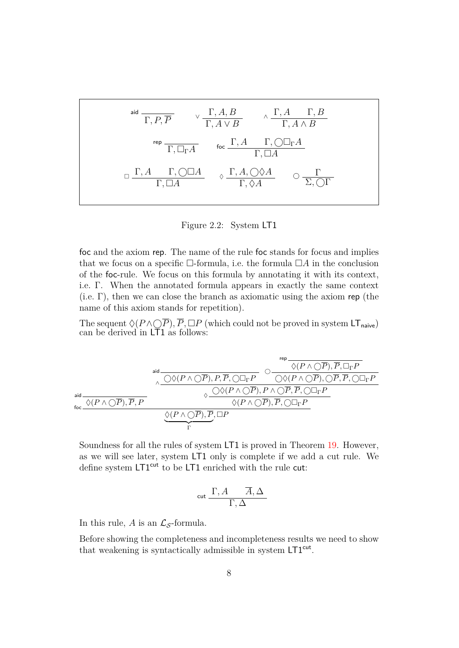<span id="page-14-0"></span>
$$
\begin{array}{ccccc}\n\text{aid} & & & \sqrt{\Gamma, A, B} & & \sqrt{\Gamma, A & \Gamma, B} \\
\hline\n\Gamma, P, \overline{P} & & & \sqrt{\Gamma, A \vee B} & & \sqrt{\Gamma, A \wedge B} \\
\end{array}
$$
\n
$$
\begin{array}{ccccc}\n\text{rep} & & & \sqrt{\Gamma, A \vee B} & & \sqrt{\Gamma, A \wedge B} \\
\hline\n\Gamma, \Box_{\Gamma} A & & & \Gamma, \Box \Box_{\Gamma} A \\
\end{array}
$$
\n
$$
\Box \begin{array}{ccccc}\n\Gamma, A & & \Gamma, \Box \Box A & & \sqrt{\Gamma, A, \Box \Diamond A} \\
\end{array}\n\qquad \begin{array}{ccccc}\n\Box, A & & \Box, \Box \Box \Box \\
\end{array}
$$

Figure 2.2: System LT1

foc and the axiom rep. The name of the rule foc stands for focus and implies that we focus on a specific  $\Box$ -formula, i.e. the formula  $\Box A$  in the conclusion of the foc-rule. We focus on this formula by annotating it with its context, i.e. Γ. When the annotated formula appears in exactly the same context (i.e.  $\Gamma$ ), then we can close the branch as axiomatic using the axiom rep (the name of this axiom stands for repetition).

The sequent  $\Diamond (P \land \bigcirc P)$ ,  $\overline{P}$ ,  $\Box P$  (which could not be proved in system LT<sub>naive</sub>) can be derived in LT1 as follows:

$$
\begin{array}{c}\text{add} \begin{picture}(160,140) \put(0,0){\line(1,0){160}} \put(10,0){\line(1,0){160}} \put(10,0){\line(1,0){160}} \put(10,0){\line(1,0){160}} \put(10,0){\line(1,0){160}} \put(10,0){\line(1,0){160}} \put(10,0){\line(1,0){160}} \put(10,0){\line(1,0){160}} \put(10,0){\line(1,0){160}} \put(10,0){\line(1,0){160}} \put(10,0){\line(1,0){160}} \put(10,0){\line(1,0){160}} \put(10,0){\line(1,0){160}} \put(10,0){\line(1,0){160}} \put(10,0){\line(1,0){160}} \put(10,0){\line(1,0){160}} \put(10,0){\line(1,0){160}} \put(10,0){\line(1,0){160}} \put(10,0){\line(1,0){160}} \put(10,0){\line(1,0){160}} \put(10,0){\line(1,0){160}} \put(10,0){\line(1,0){160}} \put(10,0){\line(1,0){160}} \put(10,0){\line(1,0){160}} \put(10,0){\line(1,0){160}} \put(10,0){\line(1,0){160}} \put(10,0){\line(1,0){160}} \put(10,0){\line(1,0){160}} \put(10,0){\line(1,0){160}} \put(10,0){\line(1,0){160}} \put(10,0){\line(1,0){160}} \put(10,0){\line(1,0){160}} \put(10,0){\line(1,0){160}} \put(10,0){\line(1,0){160}} \put(10,0){\line(1,0){160}} \put(10,0){\line(1,0){160}} \put(10,0){\line(1,0){160}} \put(10,0){\line(1,0){160}} \put(10,0){\line(1,0){
$$

Soundness for all the rules of system LT1 is proved in Theorem [19.](#page-33-0) However, as we will see later, system LT1 only is complete if we add a cut rule. We define system LT1<sup>cut</sup> to be LT1 enriched with the rule cut:

$$
\operatorname{cut} \frac{\Gamma,A}{\Gamma,\Delta}\frac{\overline{A},\Delta}{}
$$

In this rule, *A* is an  $\mathcal{L}_{\mathcal{S}}$ -formula.

Before showing the completeness and incompleteness results we need to show that weakening is syntactically admissible in system LT1<sup>cut</sup>.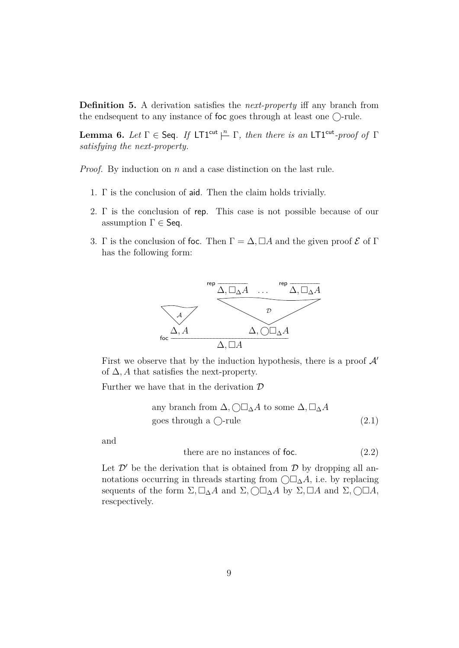**Definition 5.** A derivation satisfies the *next-property* iff any branch from the endsequent to any instance of foc goes through at least one  $\bigcirc$ -rule.

<span id="page-15-2"></span>**Lemma 6.** *Let*  $\Gamma \in \mathsf{Seq}$ . *If* LT1<sup>cut</sup>  $\stackrel{n}{\vdash} \Gamma$ , *then there is an* LT1<sup>cut</sup>-proof of  $\Gamma$ *satisfying the next-property.*

*Proof.* By induction on *n* and a case distinction on the last rule.

- 1. Γ is the conclusion of aid. Then the claim holds trivially.
- 2. Γ is the conclusion of rep. This case is not possible because of our assumption  $\Gamma \in \mathsf{Seq}.$
- 3. Γ is the conclusion of foc. Then  $\Gamma = \Delta$ ,  $\Box A$  and the given proof  $\mathcal E$  of  $\Gamma$ has the following form:



First we observe that by the induction hypothesis, there is a proof  $\mathcal{A}'$ of  $\Delta$ , A that satisfies the next-property.

Further we have that in the derivation  $D$ 

any branch from 
$$
\Delta
$$
,  $\bigcirc \Box_{\Delta} A$  to some  $\Delta$ ,  $\Box_{\Delta} A$   
goes through a  $\bigcirc$ -rule (2.1)

and

<span id="page-15-1"></span><span id="page-15-0"></span>there are no instances of foc.  $(2.2)$ 

Let  $\mathcal{D}'$  be the derivation that is obtained from  $\mathcal{D}$  by dropping all annotations occurring in threads starting from  $\bigcirc \Box_{\Delta} A$ , i.e. by replacing sequents of the form  $\Sigma$ ,  $\square_{\Delta}A$  and  $\Sigma$ ,  $\square\Box A$  by  $\Sigma$ ,  $\square A$  and  $\Sigma$ ,  $\square\Box A$ , rescpectively.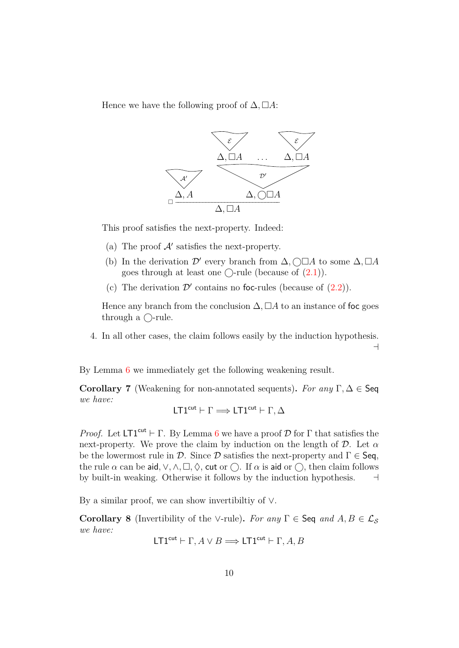Hence we have the following proof of  $\Delta$ ,  $\Box A$ :



This proof satisfies the next-property. Indeed:

- (a) The proof  $\mathcal{A}'$  satisfies the next-property.
- (b) In the derivation  $\mathcal{D}'$  every branch from  $\Delta$ ,  $\Box A$  to some  $\Delta$ ,  $\Box A$ goes through at least one  $\bigcirc$ -rule (because of  $(2.1)$ ).
- (c) The derivation  $\mathcal{D}'$  contains no foc-rules (because of  $(2.2)$ ).

Hence any branch from the conclusion  $\Delta$ ,  $\Box A$  to an instance of foc goes through a  $\bigcirc$ -rule.

4. In all other cases, the claim follows easily by the induction hypothesis.  $\overline{a}$ 

By Lemma [6](#page-15-2) we immediately get the following weakening result.

<span id="page-16-0"></span>**Corollary 7** (Weakening for non-annotated sequents)**.** *For any* Γ*,* ∆ ∈ Seq *we have:*

$$
\mathsf{L} T1^{\mathsf{cut}} \vdash \Gamma \Longrightarrow \mathsf{L} T1^{\mathsf{cut}} \vdash \Gamma, \Delta
$$

*Proof.* Let  $LT1^{cut} \vdash \Gamma$ . By Lemma [6](#page-15-2) we have a proof  $D$  for  $\Gamma$  that satisfies the next-property. We prove the claim by induction on the length of  $\mathcal D$ . Let  $\alpha$ be the lowermost rule in D. Since D satisfies the next-property and  $\Gamma \in \mathsf{Seq}$ , the rule  $\alpha$  can be aid,  $\vee$ ,  $\wedge$ ,  $\Box$ ,  $\Diamond$ , cut or  $\bigcap$ . If  $\alpha$  is aid or  $\bigcap$ , then claim follows by built-in weaking. Otherwise it follows by the induction hypothesis.  $\Box$ 

By a similar proof, we can show invertibiltiy of ∨.

<span id="page-16-1"></span>**Corollary 8** (Invertibility of the ∨-rule). *For any*  $\Gamma \in \mathsf{Seq}$  *and*  $A, B \in \mathcal{L}_S$ *we have:*

$$
LT1^{cut} \vdash \Gamma, A \lor B \Longrightarrow LT1^{cut} \vdash \Gamma, A, B
$$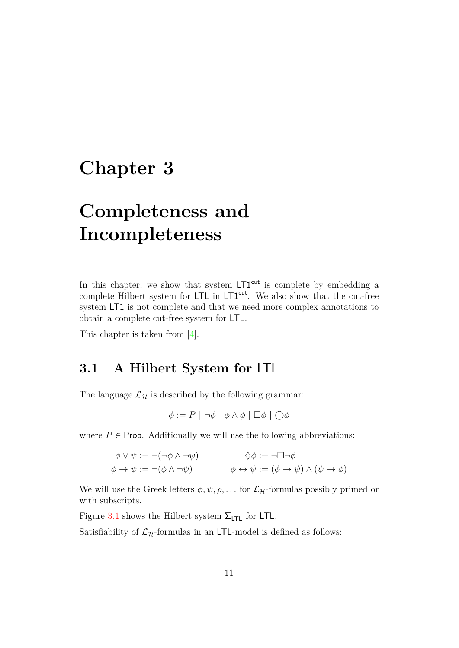### <span id="page-17-2"></span><span id="page-17-0"></span>**Chapter 3**

# **Completeness and Incompleteness**

In this chapter, we show that system  $LT1<sup>cut</sup>$  is complete by embedding a complete Hilbert system for LTL in LT1<sup>cut</sup>. We also show that the cut-free system LT1 is not complete and that we need more complex annotations to obtain a complete cut-free system for LTL.

This chapter is taken from [\[4\]](#page-47-2).

### <span id="page-17-1"></span>**3.1 A Hilbert System for** LTL

The language  $\mathcal{L}_{\mathcal{H}}$  is described by the following grammar:

 $\phi := P \mid \neg \phi \mid \phi \land \phi \mid \Box \phi \mid \bigcirc \phi$ 

where  $P \in$  **Prop.** Additionally we will use the following abbreviations:

$$
\phi \lor \psi := \neg(\neg \phi \land \neg \psi) \qquad \Diamond \phi := \neg \Box \neg \phi
$$
  

$$
\phi \to \psi := \neg(\phi \land \neg \psi) \qquad \phi \leftrightarrow \psi := (\phi \to \psi) \land (\psi \to \phi)
$$

We will use the Greek letters  $\phi, \psi, \rho, \ldots$  for  $\mathcal{L}_{\mathcal{H}}$ -formulas possibly primed or with subscripts.

Figure [3.1](#page-18-1) shows the Hilbert system  $\Sigma$ <sub>LTL</sub> for LTL.

Satisfiability of  $\mathcal{L}_{\mathcal{H}}$ -formulas in an LTL-model is defined as follows: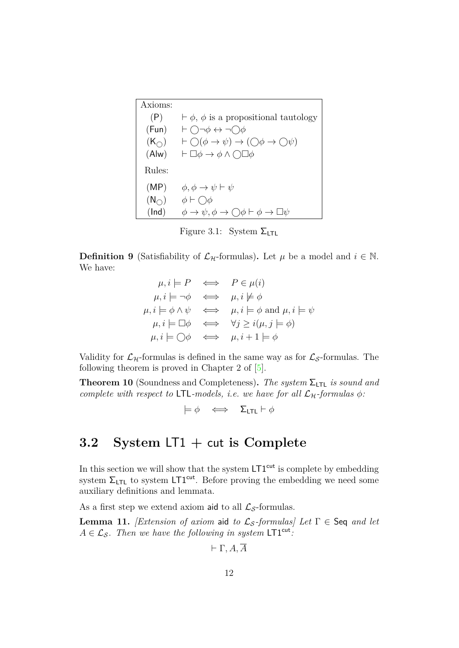<span id="page-18-4"></span><span id="page-18-1"></span>

| Axioms:          |                                                                                                 |
|------------------|-------------------------------------------------------------------------------------------------|
| (P)              | $\vdash \phi$ , $\phi$ is a propositional tautology                                             |
| (Fun)            | $\vdash \bigcap \neg \phi \leftrightarrow \neg \bigcap \phi$                                    |
| $(K_{\bigcirc})$ | $\vdash \bigcirc (\phi \rightarrow \psi) \rightarrow (\bigcirc \phi \rightarrow \bigcirc \psi)$ |
| (Alw)            | $\vdash \Box \phi \rightarrow \phi \land \bigcirc \Box \phi$                                    |
| Rules:           |                                                                                                 |
| (MP)             | $\phi, \phi \rightarrow \psi \vdash \psi$                                                       |
| $(N_{\bigcirc})$ | $\phi \vdash \bigcirc \phi$                                                                     |
| (Ind)            | $\phi \to \psi, \phi \to \bigcirc \phi \vdash \phi \to \Box \psi$                               |

Figure 3.1: System  $\Sigma$ <sub>LTL</sub>

**Definition 9** (Satisfiability of  $\mathcal{L}_{\mathcal{H}}$ -formulas). Let  $\mu$  be a model and  $i \in \mathbb{N}$ . We have:

$$
\mu, i \models P \iff P \in \mu(i)
$$
\n
$$
\mu, i \models \neg \phi \iff \mu, i \not\models \phi
$$
\n
$$
\mu, i \models \phi \land \psi \iff \mu, i \models \phi \text{ and } \mu, i \models \psi
$$
\n
$$
\mu, i \models \Box \phi \iff \forall j \geq i(\mu, j \models \phi)
$$
\n
$$
\mu, i \models \bigcirc \phi \iff \mu, i + 1 \models \phi
$$

Validity for  $\mathcal{L}_{\mathcal{H}}$ -formulas is defined in the same way as for  $\mathcal{L}_{\mathcal{S}}$ -formulas. The following theorem is proved in Chapter 2 of [\[5\]](#page-47-9).

<span id="page-18-3"></span>**Theorem 10** (Soundness and Completeness)**.** *The system* ΣLTL *is sound and complete with respect to* LTL-models, *i.e. we have for all*  $\mathcal{L}_{\mathcal{H}}$ -formulas  $\phi$ :

$$
\models \phi \iff \Sigma_{\text{LTL}} \vdash \phi
$$

### <span id="page-18-0"></span>**3.2 System** LT1 **+** cut **is Complete**

In this section we will show that the system  $\mathsf{LT1}^\mathsf{cut}$  is complete by embedding system  $\Sigma$ <sub>LTL</sub> to system LT1<sup>cut</sup>. Before proving the embedding we need some auxiliary definitions and lemmata.

As a first step we extend axiom aid to all  $\mathcal{L}_{\mathcal{S}}$ -formulas.

<span id="page-18-2"></span>**Lemma 11.** *[Extension of axiom* aid *to*  $\mathcal{L}_{\mathcal{S}}$ -formulas] Let  $\Gamma \in$  Seq *and let*  $A \in \mathcal{L}_{\mathcal{S}}$ *. Then we have the following in system*  $LT1<sup>cut</sup>$ *:* 

$$
\vdash \Gamma , A, \overline{A}
$$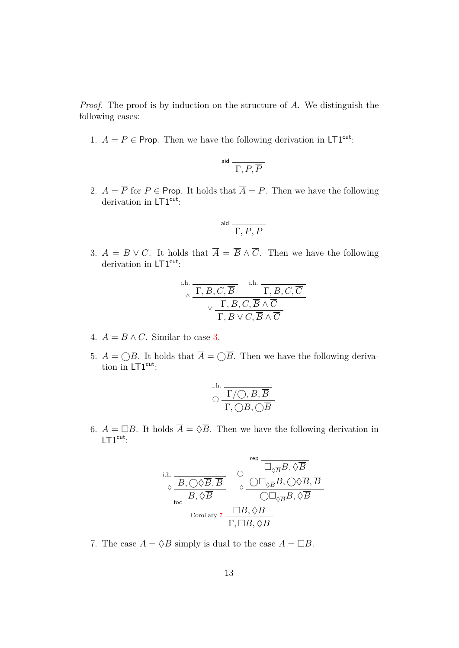*Proof.* The proof is by induction on the structure of *A*. We distinguish the following cases:

1.  $A = P \in \text{Prop}$ . Then we have the following derivation in LT1<sup>cut</sup>:

$$
\overset{\text{aid}}{\overbrace{\Gamma,P,\overline{P}}}
$$

2.  $A = \overline{P}$  for  $P \in \text{Prop. It holds that } \overline{A} = P$ . Then we have the following derivation in LT1<sup>cut</sup>:

$$
^{\rm aid} \overline{\Gamma, \overline{P}, P}
$$

<span id="page-19-0"></span>3.  $A = B \vee C$ . It holds that  $\overline{A} = \overline{B} \wedge \overline{C}$ . Then we have the following derivation in  $\mathsf{LTI}^{\mathsf{cut}}$ :

i.h. 
$$
\frac{\Gamma, B, C, \overline{B}}{\sqrt{\Gamma, B, C, \overline{B} \wedge \overline{C}}}
$$

$$
\frac{\Gamma, B, C, \overline{B} \wedge \overline{C}}{\Gamma, B \vee C, \overline{B} \wedge \overline{C}}
$$

- 4.  $A = B \wedge C$ . Similar to case [3.](#page-19-0)
- 5.  $A = \bigcirc B$ . It holds that  $\overline{A} = \bigcirc \overline{B}$ . Then we have the following derivation in  $LT1<sup>cut</sup>$ :

$$
\circlearrowright \frac{\Gamma/{\bigcircsuit}, B, \overline{B}}{\Gamma, \bigcirc B, \bigcirc \overline{B}}
$$

6.  $A = \Box B$ . It holds  $\overline{A} = \Diamond \overline{B}$ . Then we have the following derivation in  $LT1<sup>cut</sup>$ :

$$
\begin{array}{cc}\n\text{i.h.} & \xrightarrow{\text{rep}} & \overbrace{\Box_{\Diamond \overline{B}}B, \Diamond \overline{B}}^{rep} \\
\hline\n\Diamond & \overline{\Box_{\Diamond \overline{B}}B, \Diamond \overline{B}} \\
\hline\n\end{array}
$$
\n
$$
\begin{array}{cc}\n\Diamond & \overline{\Box_{\Diamond \overline{B}}B, \Diamond \overline{B}} \\
\hline\n\Diamond \Box_{\Diamond \overline{B}}B, \Diamond \overline{B} \\
\hline\n\end{array}
$$
\n
$$
\begin{array}{cc}\n\overline{\Box B, \Diamond \overline{B}} \\
\hline\n\overline{\Box B, \Diamond \overline{B}} \\
\hline\n\overline{\Box B, \Diamond \overline{B}}\n\end{array}
$$

7. The case  $A = \Diamond B$  simply is dual to the case  $A = \Box B$ .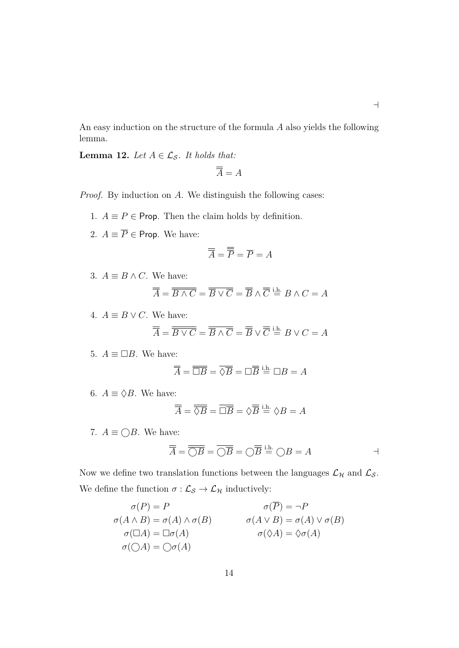An easy induction on the structure of the formula *A* also yields the following lemma.

 $\overline{\phantom{0}}$ 

<span id="page-20-0"></span>**Lemma 12.** *Let*  $A \in \mathcal{L}_{\mathcal{S}}$ *. It holds that:* 

$$
\overline{\overline{A}} = A
$$

*Proof.* By induction on *A*. We distinguish the following cases:

- 1.  $A \equiv P \in$  **Prop.** Then the claim holds by definition.
- 2.  $A \equiv \overline{P} \in$  **Prop.** We have:

$$
\overline{\overline{A}} = \overline{\overline{P}} = \overline{P} = A
$$

3.  $A \equiv B \wedge C$ . We have:

$$
\overline{\overline{A}} = \overline{\overline{B \wedge C}} = \overline{\overline{B} \vee \overline{C}} = \overline{\overline{B}} \wedge \overline{\overline{C}} \stackrel{\text{i.h.}}{=} B \wedge C = A
$$

4.  $A \equiv B \vee C$ . We have:

$$
\overline{\overline{A}} = \overline{\overline{B \vee C}} = \overline{\overline{B} \wedge \overline{C}} = \overline{\overline{B}} \vee \overline{\overline{C}} \stackrel{\text{i.h.}}{=} B \vee C = A
$$

5.  $A \equiv \Box B$ . We have:

$$
\overline{\overline{A}} = \overline{\overline{\square B}} = \overline{\lozenge \overline{B}} = \square \overline{\overline{B}} \stackrel{\text{i.h.}}{=} \square B = A
$$

6.  $A \equiv \Diamond B$ . We have:

$$
\overline{\overline{A}} = \overline{\overline{\Diamond B}} = \overline{\Box \overline{B}} = \Diamond \overline{\overline{B}} \stackrel{\text{i.h.}}{=} \Diamond B = A
$$

7.  $A \equiv \bigcirc B$ . We have:

$$
\overline{\overline{A}} = \overline{\overline{\bigcirc B}} = \overline{\bigcirc B} = \overline{\bigcirc B} = \overline{B} \stackrel{\text{i.h.}}{=} \overline{\bigcirc B} = A
$$

Now we define two translation functions between the languages  $\mathcal{L}_{\mathcal{H}}$  and  $\mathcal{L}_{\mathcal{S}}.$ We define the function  $\sigma: \mathcal{L}_{\mathcal{S}} \rightarrow \mathcal{L}_{\mathcal{H}}$  inductively:

$$
\sigma(P) = P
$$
  
\n
$$
\sigma(A \land B) = \sigma(A) \land \sigma(B)
$$
  
\n
$$
\sigma(\Box A) = \Box \sigma(A)
$$
  
\n
$$
\sigma(\bigcirc A) = \bigcirc \sigma(A)
$$
  
\n
$$
\sigma(\Diamond A) = \Diamond \sigma(A)
$$
  
\n
$$
\sigma(\Diamond A) = \Diamond \sigma(A)
$$
  
\n
$$
\sigma(\Diamond A) = \Diamond \sigma(A)
$$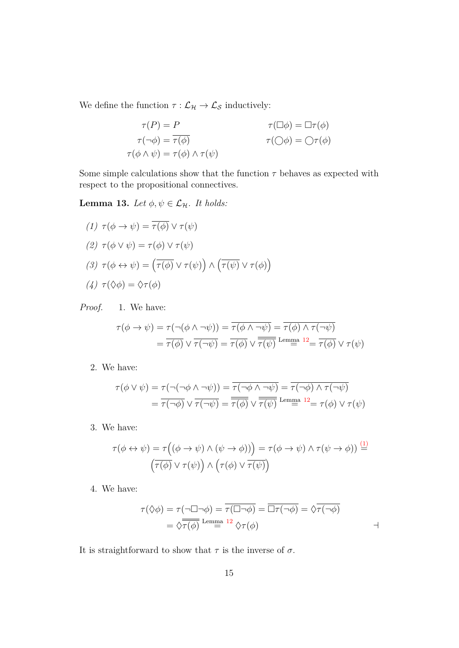We define the function  $\tau : \mathcal{L}_{\mathcal{H}} \to \mathcal{L}_{\mathcal{S}}$  inductively:

$$
\tau(P) = P \qquad \tau(\Box \phi) = \Box \tau(\phi)
$$
  

$$
\tau(\neg \phi) = \overline{\tau(\phi)} \qquad \tau(\bigcirc \phi) = \bigcirc \tau(\phi)
$$
  

$$
\tau(\phi \land \psi) = \tau(\phi) \land \tau(\psi)
$$

Some simple calculations show that the function  $\tau$  behaves as expected with respect to the propositional connectives.

<span id="page-21-1"></span>**Lemma 13.** *Let*  $\phi, \psi \in \mathcal{L}_{\mathcal{H}}$ *. It holds:* 

<span id="page-21-2"></span><span id="page-21-0"></span>(1) 
$$
\tau(\phi \to \psi) = \overline{\tau(\phi)} \lor \tau(\psi)
$$
  
\n(2)  $\tau(\phi \lor \psi) = \tau(\phi) \lor \tau(\psi)$   
\n(3)  $\tau(\phi \leftrightarrow \psi) = (\overline{\tau(\phi)} \lor \tau(\psi)) \land (\overline{\tau(\psi)} \lor \tau(\phi))$   
\n(4)  $\tau(\Diamond \phi) = \Diamond \tau(\phi)$ 

<span id="page-21-3"></span>*Proof.* 1. We have:

$$
\tau(\phi \to \psi) = \tau(\neg(\phi \land \neg \psi)) = \overline{\tau(\phi \land \neg \psi)} = \overline{\tau(\phi) \land \tau(\neg \psi)}
$$

$$
= \overline{\tau(\phi)} \lor \overline{\tau(\neg \psi)} = \overline{\tau(\phi)} \lor \overline{\overline{\tau(\psi)}} \text{ Lemma 12} = \overline{\tau(\phi)} \lor \tau(\psi)
$$

2. We have:

$$
\tau(\phi \lor \psi) = \tau(\neg(\neg \phi \land \neg \psi)) = \overline{\tau(\neg \phi \land \neg \psi)} = \overline{\tau(\neg \phi) \land \tau(\neg \psi)}
$$

$$
= \overline{\tau(\neg \phi)} \lor \overline{\tau(\neg \psi)} = \overline{\tau(\phi)} \lor \overline{\tau(\psi)} \text{ Lemma 12} = \tau(\phi) \lor \tau(\psi)
$$

3. We have:

$$
\tau(\phi \leftrightarrow \psi) = \tau((\phi \to \psi) \land (\psi \to \phi))) = \tau(\phi \to \psi) \land \tau(\psi \to \phi)) \stackrel{(1)}{=} (\overline{\tau(\phi)} \lor \tau(\psi)) \land (\tau(\phi) \lor \overline{\tau(\psi)})
$$

4. We have:

$$
\tau(\Diamond \phi) = \tau(\neg \Box \neg \phi) = \overline{\tau(\Box \neg \phi)} = \overline{\Box \tau(\neg \phi)} = \Diamond \overline{\tau(\neg \phi)}
$$
  
= 
$$
\Diamond \overline{\tau(\phi)} \xrightarrow{\text{Lemma 12}} \Diamond \tau(\phi)
$$

It is straightforward to show that  $\tau$  is the inverse of  $\sigma$ .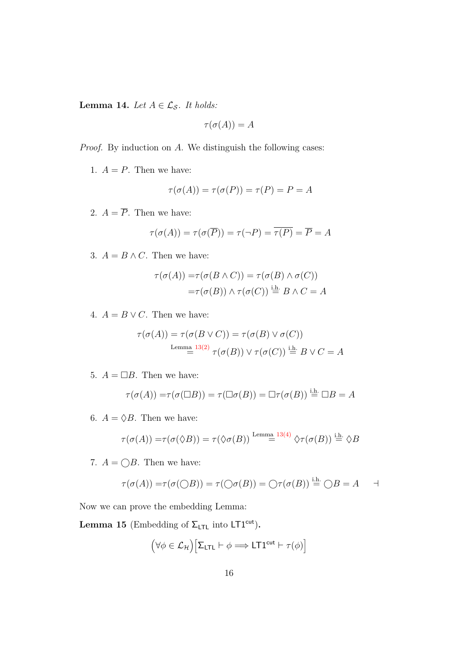<span id="page-22-1"></span>**Lemma 14.** *Let*  $A \in \mathcal{L}_{\mathcal{S}}$ *. It holds:* 

$$
\tau(\sigma(A))=A
$$

*Proof.* By induction on *A*. We distinguish the following cases:

1.  $A = P$ . Then we have:

$$
\tau(\sigma(A)) = \tau(\sigma(P)) = \tau(P) = P = A
$$

2.  $A = \overline{P}$ . Then we have:

$$
\tau(\sigma(A)) = \tau(\sigma(\overline{P})) = \tau(\neg P) = \overline{\tau(P)} = \overline{P} = A
$$

3.  $A = B \wedge C$ . Then we have:

$$
\tau(\sigma(A)) = \tau(\sigma(B \land C)) = \tau(\sigma(B) \land \sigma(C))
$$

$$
= \tau(\sigma(B)) \land \tau(\sigma(C)) \stackrel{\text{i.h.}}{=} B \land C = A
$$

4.  $A = B \vee C$ . Then we have:

$$
\tau(\sigma(A)) = \tau(\sigma(B \lor C)) = \tau(\sigma(B) \lor \sigma(C))
$$
  
Lemma 13(2)  

$$
= \tau(\sigma(B)) \lor \tau(\sigma(C)) \stackrel{\text{i.h.}}{=} B \lor C = A
$$

5.  $A = \Box B$ . Then we have:

$$
\tau(\sigma(A)) = \tau(\sigma(\Box B)) = \tau(\Box \sigma(B)) = \Box \tau(\sigma(B)) \stackrel{\text{i.h.}}{=} \Box B = A
$$

6.  $A = \Diamond B$ . Then we have:

$$
\tau(\sigma(A)) = \tau(\sigma(\Diamond B)) = \tau(\Diamond \sigma(B)) \stackrel{\text{Lemma 13(4)}}{=} \Diamond \tau(\sigma(B)) \stackrel{\text{i.h.}}{=} \Diamond B
$$

7.  $A = \bigcirc B$ . Then we have:

$$
\tau(\sigma(A)) = \tau(\sigma(\bigcirc B)) = \tau(\bigcirc \sigma(B)) = \bigcirc \tau(\sigma(B)) \stackrel{\text{i.h.}}{=} \bigcirc B = A \qquad \exists
$$

Now we can prove the embedding Lemma:

<span id="page-22-0"></span>**Lemma 15** (Embedding of  $\Sigma_{\text{LTL}}$  into  $\text{LT1}^{\text{cut}}$ ).

$$
(\forall \phi \in \mathcal{L}_{\mathcal{H}}) \big[ \Sigma_{\text{LTL}} \vdash \phi \Longrightarrow \text{LTL}^{\text{cut}} \vdash \tau(\phi) \big]
$$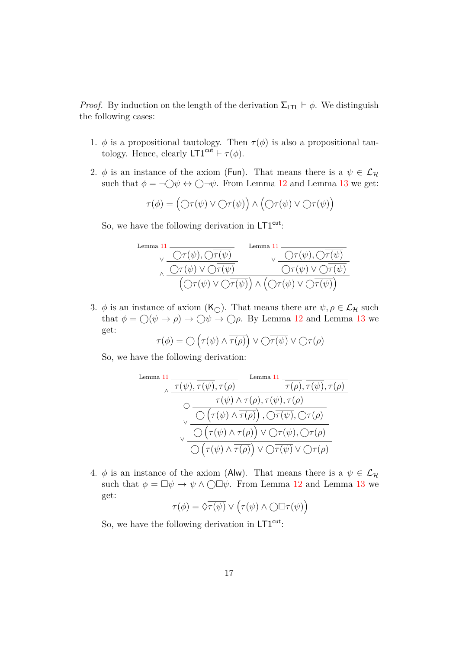*Proof.* By induction on the length of the derivation  $\Sigma_{\text{LTL}} \vdash \phi$ . We distinguish the following cases:

- 1.  $\phi$  is a propositional tautology. Then  $\tau(\phi)$  is also a propositional tautology. Hence, clearly  $LT1^{cut} \vdash \tau(\phi)$ .
- 2.  $\phi$  is an instance of the axiom (Fun). That means there is a  $\psi \in \mathcal{L}_{\mathcal{H}}$ such that  $\phi = \neg \bigcirc \psi \leftrightarrow \bigcirc \neg \psi$ . From Lemma [12](#page-20-0) and Lemma [13](#page-21-1) we get:

$$
\tau(\phi) = \left(\bigcirc \tau(\psi) \vee \bigcirc \overline{\tau(\psi)}\right) \wedge \left(\bigcirc \tau(\psi) \vee \bigcirc \overline{\tau(\psi)}\right)
$$

So, we have the following derivation in  $LT1<sup>cut</sup>$ :

$$
\begin{array}{cccc}\n\text{Lemma 11} & \xrightarrow[\sqrt{\sqrt{\tau(\psi)}, \sqrt{\tau(\psi)}]} & \text{Lemma 11} \\
\hline\n\sqrt{\sqrt{\tau(\psi)}, \sqrt{\tau(\psi)}} & \vee \overline{\sqrt{\tau(\psi)}, \sqrt{\tau(\psi)}} \\
\hline\n\left(\sqrt{\tau(\psi)} \vee \sqrt{\tau(\psi)}\right) \wedge \left(\sqrt{\tau(\psi)} \vee \sqrt{\tau(\psi)}\right)\n\end{array}
$$

3.  $\phi$  is an instance of axiom  $(K_{\cap})$ . That means there are  $\psi, \rho \in \mathcal{L}_{\mathcal{H}}$  such that  $\phi = \bigcirc (\psi \to \rho) \to \bigcirc \psi \to \bigcirc \rho$ . By Lemma [12](#page-20-0) and Lemma [13](#page-21-1) we get:

$$
\tau(\phi) = \bigcirc \left( \tau(\psi) \land \overline{\tau(\rho)} \right) \lor \bigcirc \overline{\tau(\psi)} \lor \bigcirc \tau(\rho)
$$

So, we have the following derivation:

Lemma 11  
\n
$$
\begin{array}{c}\n\pi(\psi), \overline{\tau(\psi)}, \tau(\rho) \\
\hline\n\circ \frac{\tau(\psi) \land \overline{\tau(\rho)}, \overline{\tau(\psi)}, \tau(\rho)}{\bigcirc \left(\tau(\psi) \land \overline{\tau(\rho)}, \overline{\tau(\psi)}, \tau(\rho)\right)} \\
\hline\n\vee \frac{\bigcirc \left(\tau(\psi) \land \overline{\tau(\rho)}\right), \bigcirc \overline{\tau(\psi)}, \bigcirc \tau(\rho)}{\bigcirc \left(\tau(\psi) \land \overline{\tau(\rho)}\right) \lor \bigcirc \overline{\tau(\psi)}, \bigcirc \tau(\rho)} \\
\hline\n\vee \frac{\bigcirc \left(\tau(\psi) \land \overline{\tau(\rho)}\right) \lor \bigcirc \overline{\tau(\psi)}, \bigcirc \tau(\rho)}{\bigcirc \left(\tau(\psi) \land \overline{\tau(\rho)}\right) \lor \bigcirc \overline{\tau(\psi)} \lor \bigcirc \tau(\rho)}\n\end{array}
$$

4.  $\phi$  is an instance of the axiom (Alw). That means there is a  $\psi \in \mathcal{L}_{\mathcal{H}}$ such that  $\phi = \Box \psi \rightarrow \psi \land \bigcirc \Box \psi$ . From Lemma [12](#page-20-0) and Lemma [13](#page-21-1) we get:  $\overline{ }$ 

$$
\tau(\phi) = \hat{\sqrt{\tau(\psi)}} \vee (\tau(\psi) \wedge \bigcirc \Box \tau(\psi))
$$

So, we have the following derivation in  $LT1<sup>cut</sup>$ :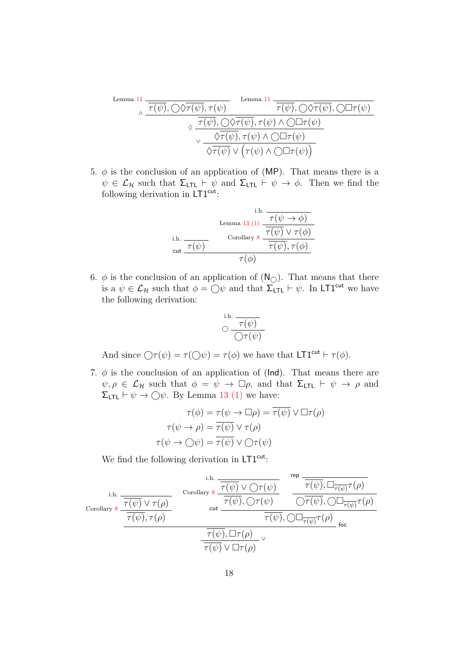Lemma 11  
\n
$$
\frac{\overline{\tau(\psi)}, \overline{\langle \sqrt{\tau(\psi)}, \tau(\psi) \rangle}}{\sqrt{\frac{\tau(\psi)}, \sqrt{\langle \sqrt{\tau(\psi)}, \tau(\psi) \rangle \cdot \langle \sqrt{\tau(\psi)}, \sqrt{\langle \sqrt{\tau(\psi)} \rangle \cdot \langle \sqrt{\tau(\psi)} \rangle \cdot \langle \sqrt{\tau(\psi)} \rangle \cdot \langle \sqrt{\tau(\psi)} \rangle \cdot \langle \sqrt{\tau(\psi)} \rangle \cdot \langle \sqrt{\tau(\psi)} \rangle \cdot \langle \sqrt{\tau(\psi)} \rangle \cdot \langle \sqrt{\tau(\psi)} \rangle \cdot \langle \sqrt{\tau(\psi)} \rangle \cdot \langle \sqrt{\tau(\psi)} \rangle \cdot \langle \sqrt{\tau(\psi)} \rangle \cdot \langle \sqrt{\tau(\psi)} \rangle)}
$$
\nLemma 11  
\nLemma 12  
\n
$$
\frac{\overline{\tau(\psi)}, \overline{\langle \sqrt{\tau(\psi)}, \tau(\psi) \land \sqrt{\Box \tau(\psi)}}}{\sqrt{\tau(\psi)} \lor (\tau(\psi) \land \sqrt{\Box \tau(\psi)})}
$$

5.  $\phi$  is the conclusion of an application of (MP). That means there is a  $\psi \in \mathcal{L}_{\mathcal{H}}$  such that  $\Sigma_{\mathsf{LTL}} \vdash \psi$  and  $\Sigma_{\mathsf{LTL}} \vdash \psi \rightarrow \phi$ . Then we find the following derivation in  $LT1<sup>cut</sup>$ :

i.h. 
$$
\frac{\text{Lemma 13 (1)}}{\tau(\psi \to \phi)}
$$
  
ii.h. 
$$
\frac{\tau(\psi \to \phi)}{\tau(\psi)} \text{Corollary 8.} \frac{\tau(\psi) \lor \tau(\phi)}{\tau(\psi), \tau(\phi)}
$$
  
cut 
$$
\frac{\tau(\phi)}{\tau(\phi)}
$$

6.  $\phi$  is the conclusion of an application of  $(N_{\bigcirc})$ . That means that there is a  $\psi \in \mathcal{L}_{\mathcal{H}}$  such that  $\phi = \bigcirc \psi$  and that  $\sum_{\mathsf{LTL}}^{\mathsf{L}} \vdash \psi$ . In LT1<sup>cut</sup> we have the following derivation:

$$
\circlearrowleft^{\text{i.h.}} \frac{\tau(\psi)}{\bigcirc \tau(\psi)}
$$

And since  $\bigcirc$   $\tau(\psi) = \tau(\bigcirc \psi) = \tau(\phi)$  we have that  $LT1^{cut} \vdash \tau(\phi)$ .

7.  $\phi$  is the conclusion of an application of ( $\mathsf{Ind}$ ). That means there are  $\psi, \rho \in \mathcal{L}_{\mathcal{H}}$  such that  $\phi = \psi \to \Box \rho$ , and that  $\Sigma_{\text{LTL}} \vdash \psi \to \rho$  and  $\Sigma$ <sub>LTL</sub>  $\vdash \psi \rightarrow \bigcirc \psi$ . By Lemma [13](#page-21-1) [\(1\)](#page-21-0) we have:

$$
\tau(\phi) = \tau(\psi \to \Box \rho) = \overline{\tau(\psi)} \lor \Box \tau(\rho)
$$

$$
\tau(\psi \to \rho) = \overline{\tau(\psi)} \lor \tau(\rho)
$$

$$
\tau(\psi \to \bigcirc \psi) = \overline{\tau(\psi)} \lor \bigcirc \tau(\psi)
$$

We find the following derivation in  $LT1<sup>cut</sup>$ :

$$
\frac{\text{i.h.}}{\text{Corollary 8}} \frac{\frac{\text{i.h.}}{\overline{\tau(\psi)} \vee \tau(\rho)}}{\frac{\overline{\tau(\psi)} \vee \tau(\rho)}{\overline{\tau(\psi)}, \tau(\rho)}} \quad \frac{\text{Corollary 8}}{\text{cut}} \frac{\frac{\overline{\tau(\psi)} \vee \bigcirc \tau(\psi)}{\overline{\tau(\psi)}, \bigcirc \tau(\psi)}}{\frac{\overline{\tau(\psi)}, \bigcirc \tau(\psi)}{\overline{\tau(\psi)}, \bigcirc \Box_{\overline{\tau(\psi)}} \tau(\rho)}}}{\frac{\overline{\tau(\psi)}, \bigcirc \Box_{\overline{\tau(\psi)}} \tau(\rho)}{\overline{\tau(\psi)}, \bigcirc \Box_{\overline{\tau(\psi)}} \tau(\rho)}}{\frac{\overline{\tau(\psi)}, \bigcirc \Box_{\overline{\tau(\psi)}} \tau(\rho)}{\overline{\tau(\psi)} \vee \Box \tau(\rho)}} \quad \text{for}
$$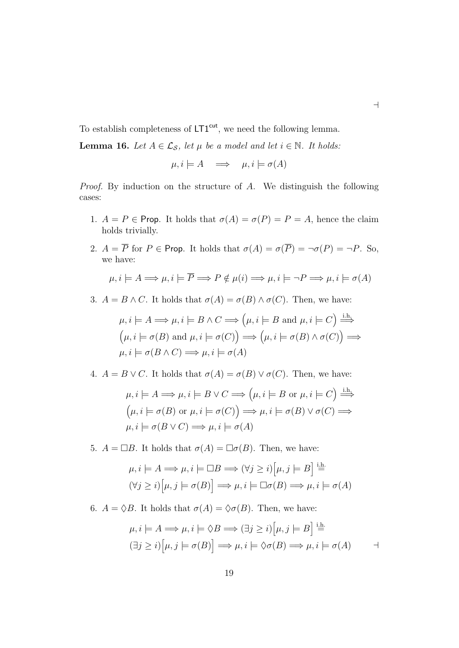To establish completeness of  $LT1<sup>cut</sup>$ , we need the following lemma.

<span id="page-25-0"></span>**Lemma 16.** *Let*  $A \in \mathcal{L}_{\mathcal{S}}$ , *let*  $\mu$  *be a model and let*  $i \in \mathbb{N}$ *. It holds:* 

$$
\mu, i \models A \implies \mu, i \models \sigma(A)
$$

 $\overline{\phantom{0}}$ 

*Proof.* By induction on the structure of *A*. We distinguish the following cases:

- 1.  $A = P \in \text{Prop. It holds that } \sigma(A) = \sigma(P) = P = A$ , hence the claim holds trivially.
- 2.  $A = \overline{P}$  for  $P \in \text{Prop. It holds that } \sigma(A) = \sigma(\overline{P}) = \neg \sigma(P) = \neg P$ . So, we have:

$$
\mu, i \models A \Longrightarrow \mu, i \models \overline{P} \Longrightarrow P \notin \mu(i) \Longrightarrow \mu, i \models \neg P \Longrightarrow \mu, i \models \sigma(A)
$$

3.  $A = B \wedge C$ . It holds that  $\sigma(A) = \sigma(B) \wedge \sigma(C)$ . Then, we have:

$$
\mu, i \models A \Longrightarrow \mu, i \models B \land C \Longrightarrow \left(\mu, i \models B \text{ and } \mu, i \models C\right) \stackrel{\text{i.h.}}{\Longrightarrow}
$$

$$
\left(\mu, i \models \sigma(B) \text{ and } \mu, i \models \sigma(C)\right) \Longrightarrow \left(\mu, i \models \sigma(B) \land \sigma(C)\right) \Longrightarrow
$$

$$
\mu, i \models \sigma(B \land C) \Longrightarrow \mu, i \models \sigma(A)
$$

4.  $A = B \vee C$ . It holds that  $\sigma(A) = \sigma(B) \vee \sigma(C)$ . Then, we have:

$$
\mu, i \models A \Longrightarrow \mu, i \models B \lor C \Longrightarrow \left(\mu, i \models B \text{ or } \mu, i \models C\right) \stackrel{\text{i.h.}}{\Longrightarrow}
$$

$$
\left(\mu, i \models \sigma(B) \text{ or } \mu, i \models \sigma(C)\right) \Longrightarrow \mu, i \models \sigma(B) \lor \sigma(C) \Longrightarrow
$$

$$
\mu, i \models \sigma(B \lor C) \Longrightarrow \mu, i \models \sigma(A)
$$

5.  $A = \Box B$ . It holds that  $\sigma(A) = \Box \sigma(B)$ . Then, we have:

$$
\mu, i \models A \Longrightarrow \mu, i \models \Box B \Longrightarrow (\forall j \geq i) [\mu, j \models B] \stackrel{\text{i.h.}}{=} (\forall j \geq i) [\mu, j \models \sigma(B)] \Longrightarrow \mu, i \models \Box \sigma(B) \Longrightarrow \mu, i \models \sigma(A)
$$

6.  $A = \Diamond B$ . It holds that  $\sigma(A) = \Diamond \sigma(B)$ . Then, we have:

$$
\mu, i \models A \Longrightarrow \mu, i \models \Diamond B \Longrightarrow (\exists j \geq i) [\mu, j \models B] \stackrel{\text{i.h.}}{=} (\exists j \geq i) [\mu, j \models \sigma(B)] \Longrightarrow \mu, i \models \Diamond \sigma(B) \Longrightarrow \mu, i \models \sigma(A) \qquad \exists
$$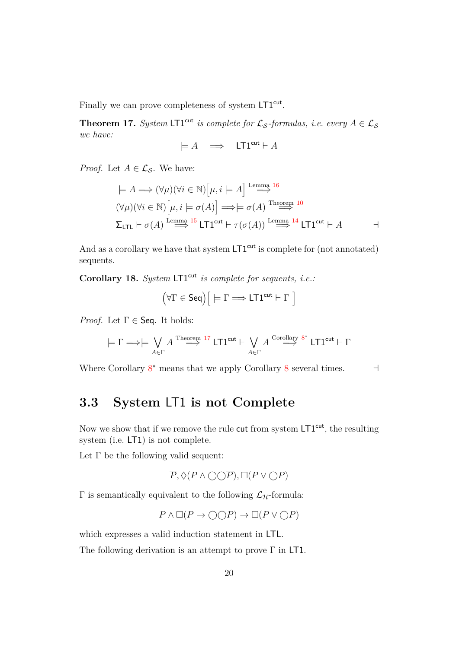Finally we can prove completeness of system LT1<sup>cut</sup>.

<span id="page-26-1"></span>**Theorem 17.** *System* LT1<sup>cut</sup> *is complete for*  $\mathcal{L}_{\mathcal{S}}$ -formulas, *i.e.* every  $A \in \mathcal{L}_{\mathcal{S}}$ *we have:*

$$
\models A \quad \Longrightarrow \quad \mathsf{LTI}^{\mathsf{cut}} \vdash A
$$

*Proof.* Let  $A \in \mathcal{L}_{\mathcal{S}}$ . We have:

$$
\models A \Longrightarrow (\forall \mu)(\forall i \in \mathbb{N}) \Big[ \mu, i \models A \Big] \stackrel{\text{Lemma 16}}{\Longrightarrow}^{16}
$$
  

$$
(\forall \mu)(\forall i \in \mathbb{N}) \Big[ \mu, i \models \sigma(A) \Big] \Longrightarrow \models \sigma(A) \stackrel{\text{Theorem 10}}{\Longrightarrow}^{16}
$$
  

$$
\Sigma_{\text{LTL}} \vdash \sigma(A) \stackrel{\text{Lemma 15}}{\Longrightarrow} \text{LTL}^{\text{cut}} \vdash \tau(\sigma(A)) \stackrel{\text{Lemma 14}}{\Longrightarrow} \text{LTL}^{\text{cut}} \vdash A \qquad \neg \vdash
$$

And as a corollary we have that system  $LT1<sup>cut</sup>$  is complete for (not annotated) sequents.

**Corollary 18.** *System* LT1<sup>cut</sup> *is complete for sequents, i.e.:* 

$$
\left(\forall \Gamma \in \mathsf{Seq}\right) \Big[ \models \Gamma \Longrightarrow \mathsf{L}\mathsf{T} \mathsf{1}^{\mathsf{cut}} \vdash \Gamma \; \Big]
$$

*Proof.* Let  $\Gamma \in \mathsf{Seq}$ . It holds:

$$
\models \Gamma \Longrightarrow \models \bigvee_{A \in \Gamma} A \stackrel{\text{Theorem 17}}{\Longrightarrow} \text{LT1^{cut}} \vdash \bigvee_{A \in \Gamma} A \stackrel{\text{Corollary 8*}}{\Longrightarrow} \text{LT1^{cut}} \vdash \Gamma
$$

Where Corollary  $8^*$  $8^*$  means that we apply Corollary  $8$  several times.

### <span id="page-26-0"></span>**3.3 System** LT1 **is not Complete**

Now we show that if we remove the rule cut from system  $LT1<sup>cut</sup>$ , the resulting system (i.e. LT1) is not complete.

Let  $\Gamma$  be the following valid sequent:

$$
\overline{P}, \Diamond (P \land \bigcirc \bigcirc \overline{P}), \Box (P \lor \bigcirc P)
$$

Γ is semantically equivalent to the following  $\mathcal{L}_{\mathcal{H}}$ -formula:

$$
P \land \Box(P \to \bigcirc \bigcirc P) \to \Box(P \lor \bigcirc P)
$$

which expresses a valid induction statement in LTL.

The following derivation is an attempt to prove Γ in LT1.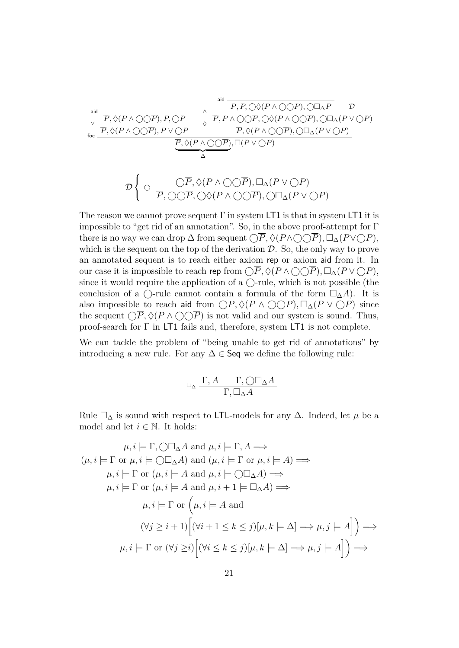$$
\frac{\frac{\mathrm{aid}}{\mathrm{p}, \Diamond (P \land \bigcirc \bigcirc \overline{P}), P, \bigcirc P}}{\frac{\overline{P}, \Diamond (P \land \bigcirc \bigcirc \overline{P}), P, \bigcirc P}{\overline{P}, P \land \bigcirc \bigcirc \overline{P}, P, \bigcirc \bigcirc (P \land \bigcirc \bigcirc \overline{P}), \bigcirc \Box_{\Delta} P}} \quad \frac{\overline{P}, P, \bigcirc \bigcirc (P \land \bigcirc \bigcirc \overline{P}), \bigcirc \Box_{\Delta} P}{\overline{P}, P \land \bigcirc \bigcirc \overline{P}, \bigcirc (P \land \bigcirc \bigcirc \overline{P}), \bigcirc \Box_{\Delta} (P \lor \bigcirc P)}
$$
\n
$$
\frac{\overline{P}, \Diamond (P \land \bigcirc \bigcirc \overline{P}), \bigcirc \Box_{\Delta} (P \lor \bigcirc P)}{\overline{P}, \Diamond (P \land \bigcirc \bigcirc \overline{P}), \Box (P \lor \bigcirc P)}
$$
\n
$$
\frac{\mathcal{D}}{\Delta}
$$
\n
$$
\frac{\bigcirc \overline{P}, \bigcirc (P \land \bigcirc \bigcirc \overline{P}), \bigcirc \Box_{\Delta} (P \lor \bigcirc P)}{\overline{P}, \bigcirc \bigcirc \overline{P}, \bigcirc \bigcirc (P \land \bigcirc \bigcirc \overline{P}), \bigcirc \Box_{\Delta} (P \lor \bigcirc P)}
$$

The reason we cannot prove sequent  $\Gamma$  in system LT1 is that in system LT1 it is impossible to "get rid of an annotation". So, in the above proof-attempt for Γ there is no way we can drop  $\Delta$  from sequent  $\widehat{\bigcup P}, \Diamond(P \wedge \widehat{\bigcirc QP}), \Box_{\Delta}(P \vee \widehat{\bigcirc P}),$ which is the sequent on the top of the derivation  $\mathcal{D}$ . So, the only way to prove an annotated sequent is to reach either axiom rep or axiom aid from it. In our case it is impossible to reach rep from  $\bigcirc \overline{P}$ ,  $\Diamond (P \land \bigcirc \bigcirc \overline{P})$ ,  $\Box_{\Delta} (P \lor \bigcirc P)$ , since it would require the application of a  $\bigcirc$ -rule, which is not possible (the conclusion of a  $\bigcap$ -rule cannot contain a formula of the form  $\square_{\Delta} A$ . It is also impossible to reach aid from  $\bigcirc \overline{P}$ ,  $\Diamond (P \land \bigcirc \bigcirc \overline{P})$ ,  $\Box_{\Delta} (P \lor \bigcirc P)$  since the sequent  $\bigcap \overline{P}, \Diamond (P \wedge \bigcirc \bigcirc \overline{P})$  is not valid and our system is sound. Thus, proof-search for  $\Gamma$  in LT1 fails and, therefore, system LT1 is not complete.

We can tackle the problem of "being unable to get rid of annotations" by introducing a new rule. For any  $\Delta \in \mathsf{Seq}$  we define the following rule:

$$
\Box_\Delta \; \frac{\Gamma, A \qquad \Gamma, \bigcirc \Box_\Delta A}{\Gamma, \Box_\Delta A}
$$

Rule  $\square_{\Delta}$  is sound with respect to LTL-models for any  $\Delta$ . Indeed, let  $\mu$  be a model and let  $i \in \mathbb{N}$ . It holds:

$$
\mu, i \models \Gamma, \bigcirc \Box_{\Delta} A \text{ and } \mu, i \models \Gamma, A \Longrightarrow
$$
  

$$
(\mu, i \models \Gamma \text{ or } \mu, i \models \bigcirc \Box_{\Delta} A) \text{ and } (\mu, i \models \Gamma \text{ or } \mu, i \models A) \Longrightarrow
$$
  

$$
\mu, i \models \Gamma \text{ or } (\mu, i \models A \text{ and } \mu, i \models \bigcirc \Box_{\Delta} A) \Longrightarrow
$$
  

$$
\mu, i \models \Gamma \text{ or } (\mu, i \models A \text{ and } \mu, i + 1 \models \Box_{\Delta} A) \Longrightarrow
$$
  

$$
\mu, i \models \Gamma \text{ or } (\mu, i \models A \text{ and }
$$
  

$$
(\forall j \geq i+1) \Big[ (\forall i+1 \leq k \leq j)[\mu, k \models \Delta] \Longrightarrow \mu, j \models A \Big] \Big) \Longrightarrow
$$
  

$$
\mu, i \models \Gamma \text{ or } (\forall j \geq i) \Big[ (\forall i \leq k \leq j)[\mu, k \models \Delta] \Longrightarrow \mu, j \models A \Big] \Big) \Longrightarrow
$$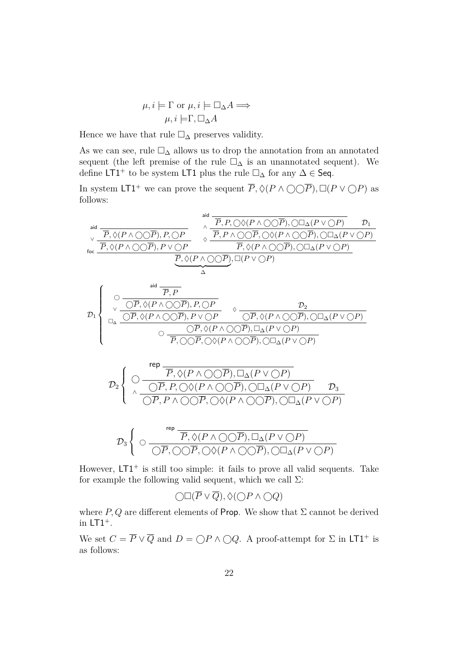$$
\mu, i \models \Gamma \text{ or } \mu, i \models \Box_{\Delta} A \Longrightarrow
$$

$$
\mu, i \models \Gamma, \Box_{\Delta} A
$$

Hence we have that rule  $\Box_{\Delta}$  preserves validity.

As we can see, rule  $\Box_{\Delta}$  allows us to drop the annotation from an annotated sequent (the left premise of the rule  $\square_{\Delta}$  is an unannotated sequent). We define LT1<sup>+</sup> to be system LT1 plus the rule  $\square_{\Delta}$  for any  $\Delta \in$  Seq.

In system LT1<sup>+</sup> we can prove the sequent  $\overline{P}$ ,  $\Diamond(P \land \bigcirc \bigcirc \overline{P})$ ,  $\Box(P \lor \bigcirc P)$  as follows:

aid *P , P,* ♦(*<sup>P</sup>* <sup>∧</sup>*P*)*,* ∆(*<sup>P</sup>* <sup>∨</sup>*P*) <sup>D</sup><sup>1</sup> <sup>∧</sup> aid *P ,* ♦(*P* ∧ *P*)*, P, P P , P* ∧ *P ,* ♦(*P* ∧ *P*)*,* ∆(*P* ∨ *P*) ♦ ∨ *P ,* ♦(*P* ∧ *P*)*, P* ∨ *P P ,* ♦(*P* ∧ *P*)*,* ∆(*P* ∨ *P*) foc *P ,* ♦(*P* ∧ *P*) *,* (*P* ∨ *P*) | {z } ∆ aid *P , P P ,* ♦(*P* ∧ *P*)*, P, P* D<sup>2</sup> ♦ ∨ D<sup>1</sup> *P ,* ♦(*P* ∧ *P*)*, P* ∨ *P P ,* ♦(*P* ∧ *P*)*,* ∆(*P* ∨ *P*) <sup>∆</sup> *P ,* ♦(*<sup>P</sup>* <sup>∧</sup>*P*)*,* ∆(*<sup>P</sup>* <sup>∨</sup>*P*) *P , P ,* ♦(*P* ∧ *P*)*,* ∆(*P* ∨ *P*) rep *P ,* ♦(*<sup>P</sup>* <sup>∧</sup>*P*)*,* ∆(*<sup>P</sup>* <sup>∨</sup>*P*) D<sup>2</sup> *P , P,* ♦(*<sup>P</sup>* <sup>∧</sup>*P*)*,* ∆(*<sup>P</sup>* <sup>∨</sup>*P*) <sup>D</sup><sup>3</sup> <sup>∧</sup> *P , P* ∧ *P ,* ♦(*P* ∧ *P*)*,* ∆(*P* ∨ *P*) rep *P ,* ♦(*<sup>P</sup>* <sup>∧</sup>*P*)*,* ∆(*<sup>P</sup>* <sup>∨</sup>*P*) D<sup>3</sup> *P , P ,* ♦(*P* ∧ *P*)*,* ∆(*P* ∨ *P*) 

However,  $LT1<sup>+</sup>$  is still too simple: it fails to prove all valid sequents. Take for example the following valid sequent, which we call  $\Sigma$ :

 $\bigcap \Box (\overline{P} \vee \overline{Q}), \Diamond (\bigcap P \wedge \bigcirc Q)$ 

where  $P, Q$  are different elements of Prop. We show that  $\Sigma$  cannot be derived in  $LT1^+$ .

We set  $C = \overline{P} \vee \overline{Q}$  and  $D = \bigcirc P \wedge \bigcirc Q$ . A proof-attempt for  $\Sigma$  in LT1<sup>+</sup> is as follows: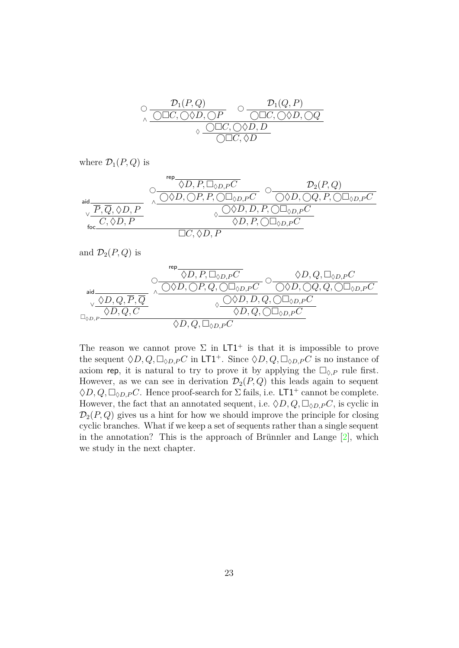<span id="page-29-0"></span>
$$
\begin{array}{cc}\n\bigcirc \frac{\mathcal{D}_1(P,Q)}{\bigcirc \square C, \bigcirc \Diamond D, \bigcirc P} & \bigcirc \frac{\mathcal{D}_1(Q,P)}{\bigcirc \square C, \bigcirc \Diamond D, \bigcirc Q} \\
\hline\n\circ & \bigcirc \square C, \bigcirc \Diamond D, D \\
\hline\n\searrow & \bigcirc \square C, \bigcirc \Diamond D, D \\
\hline\n\bigcirc \square C, \Diamond D\n\end{array}
$$

where  $\mathcal{D}_1(P,Q)$  is

$$
\text{aid} \xrightarrow[\text{foc}]{\mathcal{O} \longrightarrow \text{foc}]{\mathcal{O} \longrightarrow \text{foc} \longrightarrow \text{foc} \longrightarrow \text{foc} \longrightarrow \text{foc} \longrightarrow \text{foc} \longrightarrow \text{foc} \longrightarrow \text{foc} \longrightarrow \text{foc} \longrightarrow \text{foc} \longrightarrow \text{foc} \longrightarrow \text{foc} \longrightarrow \text{foc} \longrightarrow \text{foc} \longrightarrow \text{foc} \longrightarrow \text{foc} \longrightarrow \text{foc} \longrightarrow \text{foc} \longrightarrow \text{foc} \longrightarrow \text{foc} \longrightarrow \text{foc} \longrightarrow \text{foc} \longrightarrow \text{foc} \longrightarrow \text{foc} \longrightarrow \text{foc} \longrightarrow \text{foc} \longrightarrow \text{foc} \longrightarrow \text{foc} \longrightarrow \text{foc} \longrightarrow \text{foc} \longrightarrow \text{foc} \longrightarrow \text{foc} \longrightarrow \text{foc} \longrightarrow \text{foc} \longrightarrow \text{foc} \longrightarrow \text{foc} \longrightarrow \text{foc} \longrightarrow \text{foc} \longrightarrow \text{foc} \longrightarrow \text{foc} \longrightarrow \text{foc} \longrightarrow \text{foc} \longrightarrow \text{foc} \longrightarrow \text{foc} \longrightarrow \text{foc} \longrightarrow \text{foc} \longrightarrow \text{foc} \longrightarrow \text{foc} \longrightarrow \text{foc} \longrightarrow \text{foc} \longrightarrow \text{foc} \longrightarrow \text{foc} \longrightarrow \text{foc} \longrightarrow \text{foc} \longrightarrow \text{foc} \longrightarrow \text{foc} \longrightarrow \text{foc} \longrightarrow \text{foc} \longrightarrow \text{foc} \longrightarrow \text{foc} \longrightarrow \text{foc} \longrightarrow \text{foc} \longrightarrow \text{foc} \longrightarrow \text{foc} \longrightarrow \text{foc} \longrightarrow \text{foc} \longrightarrow \text{foc} \longrightarrow \text{foc} \longrightarrow \text{foc} \longrightarrow \text{foc} \longrightarrow \text{foc} \longrightarrow \text{foc} \longrightarrow \text{foc} \longrightarrow \text{foc} \longrightarrow \text{foc} \longrightarrow \text{foc} \longrightarrow \text{foc} \longrightarrow \text{foc} \longrightarrow \text{foc} \longrightarrow \text{foc} \longrightarrow \text{foc} \longrightarrow \text{foc} \longrightarrow \text{foc} \longrightarrow \text{foc} \longrightarrow \text{foc} \longrightarrow \text{foc} \longrightarrow \text{foc} \longrightarrow \text{foc} \longrightarrow \text{foc} \longrightarrow \text{foc} \longrightarrow \text{foc} \longrightarrow \text
$$

and  $\mathcal{D}_2(P,Q)$  is



The reason we cannot prove  $\Sigma$  in  $LT1^+$  is that it is impossible to prove the sequent  $\Diamond D, Q, \Box_{\Diamond D,P}C$  in LT1<sup>+</sup>. Since  $\Diamond D, Q, \Box_{\Diamond D,P}C$  is no instance of axiom rep, it is natural to try to prove it by applying the  $\Box_{\Diamond, P}$  rule first. However, as we can see in derivation  $\mathcal{D}_2(P,Q)$  this leads again to sequent  $\Diamond D, Q, \Box_{\Diamond D,P}C$ . Hence proof-search for  $\Sigma$  fails, i.e. LT1<sup>+</sup> cannot be complete. However, the fact that an annotated sequent, i.e.  $\Diamond D, Q, \Box_{\Diamond D,P}C$ , is cyclic in  $\mathcal{D}_2(P,Q)$  gives us a hint for how we should improve the principle for closing cyclic branches. What if we keep a set of sequents rather than a single sequent in the annotation? This is the approach of Brünnler and Lange  $[2]$ , which we study in the next chapter.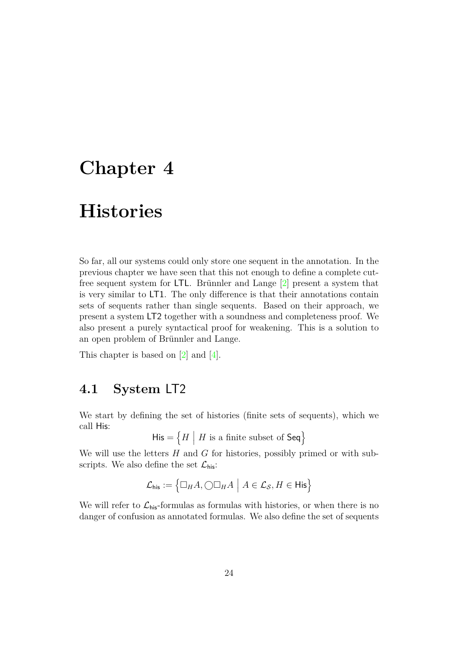### <span id="page-30-2"></span><span id="page-30-0"></span>**Chapter 4**

## **Histories**

So far, all our systems could only store one sequent in the annotation. In the previous chapter we have seen that this not enough to define a complete cutfree sequent system for LTL. Brünnler and Lange  $[2]$  present a system that is very similar to LT1. The only difference is that their annotations contain sets of sequents rather than single sequents. Based on their approach, we present a system LT2 together with a soundness and completeness proof. We also present a purely syntactical proof for weakening. This is a solution to an open problem of Brünnler and Lange.

This chapter is based on [\[2\]](#page-47-1) and [\[4\]](#page-47-2).

### <span id="page-30-1"></span>**4.1 System** LT2

We start by defining the set of histories (finite sets of sequents), which we call His:

 $\mathsf{His} = \left\{ H \middle| H \text{ is a finite subset of } \mathsf{Seq} \right\}$ 

We will use the letters *H* and *G* for histories, possibly primed or with subscripts. We also define the set  $\mathcal{L}_{\text{his}}$ :

$$
\mathcal{L}_{\text{his}} := \left\{ \Box_H A, \bigcirc \Box_H A \mid A \in \mathcal{L}_{\mathcal{S}}, H \in \mathsf{His} \right\}
$$

We will refer to  $\mathcal{L}_{\text{his}}$ -formulas as formulas with histories, or when there is no danger of confusion as annotated formulas. We also define the set of sequents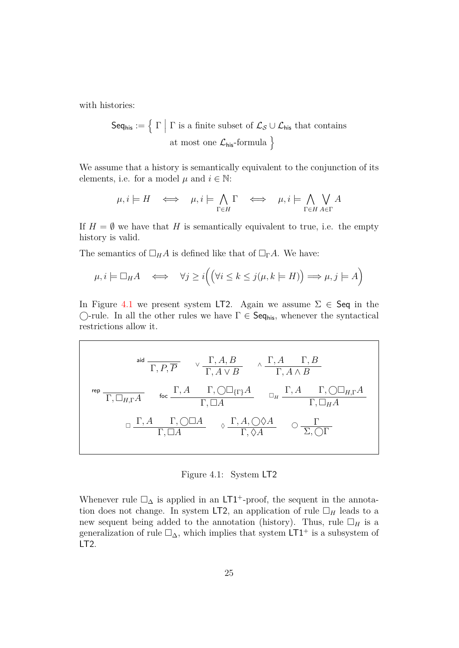with histories:

Seq<sub>his</sub> := { 
$$
\Gamma | \Gamma
$$
 is a finite subset of  $\mathcal{L}_{\mathcal{S}} \cup \mathcal{L}_{\text{his}}$  that contains  
at most one  $\mathcal{L}_{\text{his}}$ -formula }

We assume that a history is semantically equivalent to the conjunction of its elements, i.e. for a model  $\mu$  and  $i \in \mathbb{N}$ :

$$
\mu, i \models H \iff \mu, i \models \bigwedge_{\Gamma \in H} \Gamma \iff \mu, i \models \bigwedge_{\Gamma \in H} \bigvee_{A \in \Gamma} A
$$

If  $H = \emptyset$  we have that *H* is semantically equivalent to true, i.e. the empty history is valid.

The semantics of  $\Box_H A$  is defined like that of  $\Box_{\Gamma} A$ . We have:

$$
\mu, i \models \Box_H A \iff \forall j \ge i \Big( \Big( \forall i \le k \le j \big( \mu, k \models H \big) \Big) \Longrightarrow \mu, j \models A \Big)
$$

In Figure [4.1](#page-31-0) we present system LT2. Again we assume  $\Sigma \in \mathsf{Seq}$  in the  $\bigcirc$ -rule. In all the other rules we have  $\Gamma \in \mathsf{Seq}_{\mathsf{his}}$ , whenever the syntactical restrictions allow it.

<span id="page-31-0"></span>
$$
\begin{array}{ccccccccc}\n & & & \text{and} & & & \text{if } & \text{if } & \text{if } & \text{if } & \text{if } & \text{if } & \text{if } & \text{if } & \text{if } & \text{if } & \text{if } & \text{if } & \text{if } & \text{if } & \text{if } & \text{if } & \text{if } & \text{if } & \text{if } & \text{if } & \text{if } & \text{if } & \text{if } & \text{if } & \text{if } & \text{if } & \text{if } & \text{if } & \text{if } & \text{if } & \text{if } & \text{if } & \text{if } & \text{if } & \text{if } & \text{if } & \text{if } & \text{if } & \text{if } & \text{if } & \text{if } & \text{if } & \text{if } & \text{if } & \text{if } & \text{if } & \text{if } & \text{if } & \text{if } & \text{if } & \text{if } & \text{if } & \text{if } & \text{if } & \text{if } & \text{if } & \text{if } & \text{if } & \text{if } & \text{if } & \text{if } & \text{if } & \text{if } & \text{if } & \text{if } & \text{if } & \text{if } & \text{if } & \text{if } & \text{if } & \text{if } & \text{if } & \text{if } & \text{if } & \text{if } & \text{if } & \text{if } & \text{if } & \text{if } & \text{if } & \text{if } & \text{if } & \text{if } & \text{if } & \text{if } & \text{if } & \text{if } & \text{if } & \text{if } & \text{if } & \text{if } & \text{if } & \text{if } & \text{if } & \text{if } & \text{if } & \text{if } & \text{if } & \text{if } & \text{if } & \text{if } & \text{if } & \text{if } & \text{if } & \text{if } & \text{if } & \text{if } & \text{if } & \text{if } & \text{if } & \text{if } & \text{if } & \text{if } & \text{if } & \text{if } & \text{if } & \text{if } & \text{if } & \text{if } & \text{if } & \text{if } & \text{if } & \text{if } & \
$$

Figure 4.1: System LT2

Whenever rule  $\square_{\Delta}$  is applied in an LT1<sup>+</sup>-proof, the sequent in the annotation does not change. In system LT2, an application of rule  $\Box_H$  leads to a new sequent being added to the annotation (history). Thus, rule  $\Box_H$  is a generalization of rule  $\square_{\Delta}$ , which implies that system LT1<sup>+</sup> is a subsystem of LT2.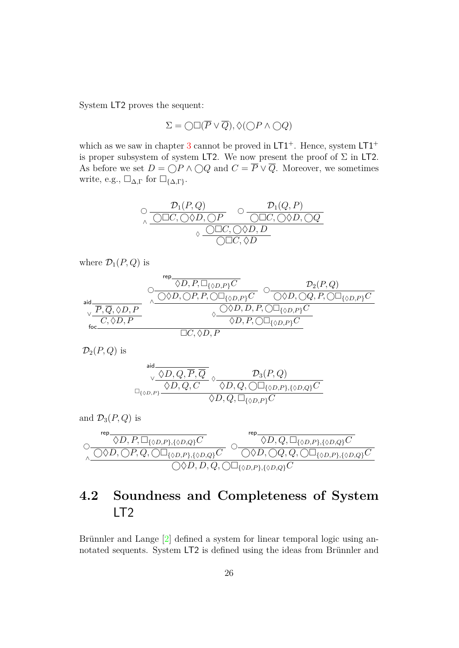<span id="page-32-1"></span>System LT2 proves the sequent:

$$
\Sigma=\bigcirc\Box(\overline{P}\vee\overline{Q}),\Diamond(\bigcirc P\wedge\bigcirc Q)
$$

which as we saw in chapter [3](#page-17-0) cannot be proved in  $LT1^+$ . Hence, system  $LT1^+$ is proper subsystem of system LT2. We now present the proof of  $\Sigma$  in LT2. As before we set  $D = \bigcirc P \wedge \bigcirc Q$  and  $C = \overline{P} \vee \overline{Q}$ . Moreover, we sometimes write, e.g., ∆*,*<sup>Γ</sup> for {∆*,*Γ}.

$$
\begin{array}{ccccc}\n\bigcirc & \mathcal{D}_1(P,Q) & \bigcirc & \mathcal{D}_1(Q,P) \\
\hline\n\wedge & \bigcirc \Box C, \bigcirc \Diamond D, \bigcirc P & \bigcirc \Box C, \bigcirc \Diamond D, \bigcirc Q \\
\hline\n\wedge & \bigcirc \Box C, \bigcirc \Diamond D, D & \bigcirc \Box C, \Diamond \Diamond D\n\end{array}
$$

where  $\mathcal{D}_1(P,Q)$  is

$$
\begin{picture}(150,10) \put(0,0){\line(1,0){160}} \put(150,0){\line(1,0){160}} \put(150,0){\line(1,0){160}} \put(150,0){\line(1,0){160}} \put(150,0){\line(1,0){160}} \put(150,0){\line(1,0){160}} \put(150,0){\line(1,0){160}} \put(150,0){\line(1,0){160}} \put(150,0){\line(1,0){160}} \put(150,0){\line(1,0){160}} \put(150,0){\line(1,0){160}} \put(150,0){\line(1,0){160}} \put(150,0){\line(1,0){160}} \put(150,0){\line(1,0){160}} \put(150,0){\line(1,0){160}} \put(150,0){\line(1,0){160}} \put(150,0){\line(1,0){160}} \put(150,0){\line(1,0){160}} \put(150,0){\line(1,0){160}} \put(150,0){\line(1,0){160}} \put(150,0){\line(1,0){160}} \put(150,0){\line(1,0){160}} \put(150,0){\line(1,0){160}} \put(150,0){\line(1,0){160}} \put(150,0){\line(1,0){160}} \put(150,0){\line(1,0){160}} \put(150,0){\line(1,0){160}} \put(150,0){\line(1,0){160}} \put(150,0){\line(1,0){160}} \put(150,0){\line(1,0){160}} \put(150,0){\line(1,0){160}} \put(150,0){\line(1,0){160}} \put(150,0){\line(1,0){160}} \put(150,0){\line(1,0){160}} \put(150,0){\line(1,0){160}} \put(150,0){\line(1,0){160}} \put(150,0){\line(1,0){160}} \put(150,0){\
$$

 $\mathcal{D}_2(P,Q)$  is

$$
\stackrel{\text{aid}}{\underset{\bigcirc \{ \varphi_D, P \} \to \mathbb{Q}, \ Q, C}{\vee \phi(D, Q, C, \overline{P}, \overline{Q}} \circ \frac{\mathcal{D}_3(P, Q)}{\Diamond D, Q, \bigcirc \Box_{\{\varphi_D, P\}, \{\varphi_D, Q\}}C}}}
$$

and 
$$
\mathcal{D}_3(P,Q)
$$
 is  
\n
$$
\circledcirc \frac{\n \varphi \qquad \qquad \varphi \qquad \qquad \varphi \qquad \qquad \varphi \qquad \qquad \varphi \qquad \qquad \varphi \qquad \qquad \varphi \qquad \qquad \varphi \qquad \qquad \varphi \qquad \qquad \varphi \qquad \qquad \varphi \qquad \qquad \varphi \qquad \qquad \varphi \qquad \qquad \varphi \qquad \qquad \varphi \qquad \qquad \varphi \qquad \qquad \varphi \qquad \qquad \varphi \qquad \qquad \varphi \qquad \qquad \varphi \qquad \qquad \varphi \qquad \qquad \varphi \qquad \qquad \varphi \qquad \qquad \varphi \qquad \qquad \varphi \qquad \qquad \varphi \qquad \qquad \varphi \qquad \qquad \varphi \qquad \qquad \varphi \qquad \qquad \varphi \qquad \qquad \varphi \qquad \qquad \varphi \qquad \qquad \varphi \qquad \qquad \varphi \qquad \qquad \varphi \qquad \qquad \varphi \qquad \qquad \varphi \qquad \qquad \varphi \qquad \qquad \varphi \qquad \qquad \varphi \qquad \qquad \varphi \qquad \qquad \varphi \qquad \qquad \varphi \qquad \qquad \varphi \qquad \qquad \varphi \qquad \qquad \varphi \qquad \qquad \varphi \qquad \qquad \varphi \qquad \qquad \varphi \qquad \qquad \varphi \qquad \qquad \varphi \qquad \qquad \varphi \qquad \qquad \varphi \qquad \qquad \varphi \qquad \qquad \varphi \qquad \qquad \varphi \qquad \qquad \varphi \qquad \qquad \varphi \qquad \qquad \varphi \qquad \qquad \varphi \qquad \qquad \varphi \qquad \qquad \varphi \qquad \qquad \varphi \qquad \qquad \varphi \qquad \qquad \varphi \qquad \qquad \varphi \qquad \qquad \varphi \qquad \qquad \varphi \qquad \qquad \varphi \qquad \qquad \varphi \qquad \qquad \varphi \qquad \qquad \varphi \qquad \qquad \varphi \qquad \qquad \varphi \qquad \qquad \varphi \qquad \qquad \varphi \qquad \qquad \varphi \qquad \qquad \varphi \qquad \qquad \varphi \qquad \qquad \varphi \qquad \qquad \varphi \qquad \qquad \varphi \
$$

### <span id="page-32-0"></span>**4.2 Soundness and Completeness of System** LT2

Brünnler and Lange  $[2]$  defined a system for linear temporal logic using annotated sequents. System LT2 is defined using the ideas from Brünnler and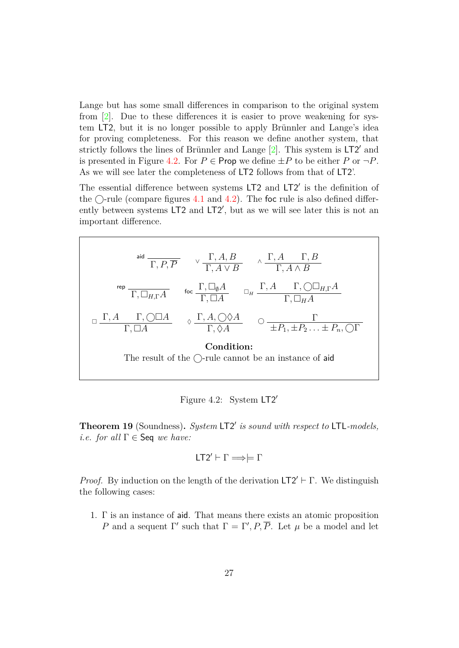<span id="page-33-2"></span>Lange but has some small differences in comparison to the original system from  $\boxed{2}$ . Due to these differences it is easier to prove weakening for system LT2, but it is no longer possible to apply Brünnler and Lange's idea for proving completeness. For this reason we define another system, that strictly follows the lines of Brünnler and Lange  $[2]$ . This system is  $LT2'$  and is presented in Figure [4.2.](#page-33-1) For  $P \in \text{Prop we define } \pm P$  to be either  $P$  or  $\neg P$ . As we will see later the completeness of LT2 follows from that of LT2'.

The essential difference between systems  $LT2$  and  $LT2'$  is the definition of the  $\bigcirc$ -rule (compare figures [4.1](#page-31-0) and [4.2\)](#page-33-1). The foc rule is also defined differently between systems  $LT2$  and  $LT2'$ , but as we will see later this is not an important difference.

<span id="page-33-1"></span>

Figure 4.2: System  $LT2'$ 

<span id="page-33-0"></span>Theorem 19 (Soundness). System LT2' is sound with respect to LTL-models, *i.e.* for all  $\Gamma \in \mathsf{Seq}$  we have:

$$
LT2' \vdash \Gamma \Longrightarrow \models \Gamma
$$

*Proof.* By induction on the length of the derivation  $LT2' \vdash \Gamma$ . We distinguish the following cases:

1. Γ is an instance of aid. That means there exists an atomic proposition *P* and a sequent Γ' such that  $\Gamma = \Gamma', P, \overline{P}$ . Let  $\mu$  be a model and let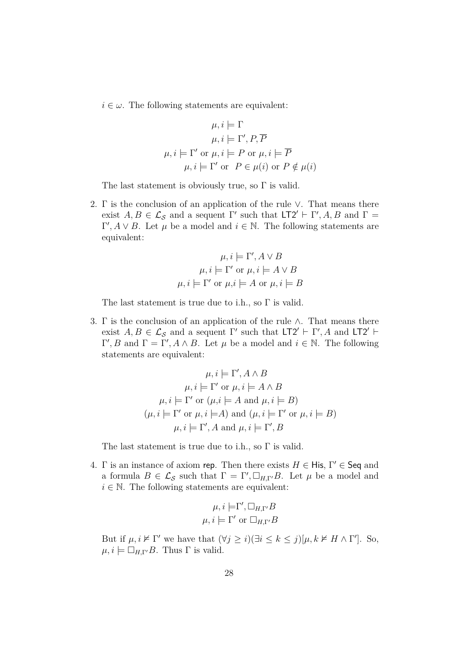$i \in \omega$ . The following statements are equivalent:

$$
\mu, i \models \Gamma
$$
  
\n
$$
\mu, i \models \Gamma', P, \overline{P}
$$
  
\n
$$
\mu, i \models \Gamma' \text{ or } \mu, i \models P \text{ or } \mu, i \models \overline{P}
$$
  
\n
$$
\mu, i \models \Gamma' \text{ or } P \in \mu(i) \text{ or } P \notin \mu(i)
$$

The last statement is obviously true, so  $\Gamma$  is valid.

2. Γ is the conclusion of an application of the rule ∨. That means there exist  $A, B \in \mathcal{L}_{\mathcal{S}}$  and a sequent  $\Gamma'$  such that  $LT2' \vdash \Gamma', A, B$  and  $\Gamma =$  $Γ', A ∨ B$ . Let *μ* be a model and  $i ∈ ℕ$ . The following statements are equivalent:

$$
\mu, i \models \Gamma', A \lor B
$$

$$
\mu, i \models \Gamma' \text{ or } \mu, i \models A \lor B
$$

$$
\mu, i \models \Gamma' \text{ or } \mu, i \models A \text{ or } \mu, i \models B
$$

The last statement is true due to i.h., so Γ is valid.

3. Γ is the conclusion of an application of the rule  $\wedge$ . That means there exist  $A, B \in \mathcal{L}_{\mathcal{S}}$  and a sequent  $\Gamma'$  such that  $LT2' \vdash \Gamma', A$  and  $LT2' \vdash \Gamma'$ *Γ'*, *B* and  $Γ = Γ'$ , *A* ∧ *B*. Let *μ* be a model and *i* ∈ *N*. The following statements are equivalent:

$$
\mu, i \models \Gamma', A \land B
$$

$$
\mu, i \models \Gamma' \text{ or } \mu, i \models A \land B
$$

$$
\mu, i \models \Gamma' \text{ or } (\mu, i \models A \text{ and } \mu, i \models B)
$$

$$
(\mu, i \models \Gamma' \text{ or } \mu, i \models A) \text{ and } (\mu, i \models \Gamma' \text{ or } \mu, i \models B)
$$

$$
\mu, i \models \Gamma', A \text{ and } \mu, i \models \Gamma', B
$$

The last statement is true due to i.h., so Γ is valid.

4. Γ is an instance of axiom rep. Then there exists  $H \in H$ is,  $\Gamma' \in \mathsf{Seq}$  and a formula  $B \in \mathcal{L}_{\mathcal{S}}$  such that  $\Gamma = \Gamma', \Box_{H,\Gamma'}B$ . Let  $\mu$  be a model and  $i \in \mathbb{N}$ . The following statements are equivalent:

$$
\mu, i \models \Gamma', \Box_{H, \Gamma'} B
$$
  

$$
\mu, i \models \Gamma' \text{ or } \Box_{H, \Gamma'} B
$$

But if  $\mu, i \nvDash \Gamma'$  we have that  $(\forall j \geq i)(\exists i \leq k \leq j)[\mu, k \nvDash H \wedge \Gamma']$ . So,  $\mu, i \models \Box_{H,\Gamma'}B$ . Thus  $\Gamma$  is valid.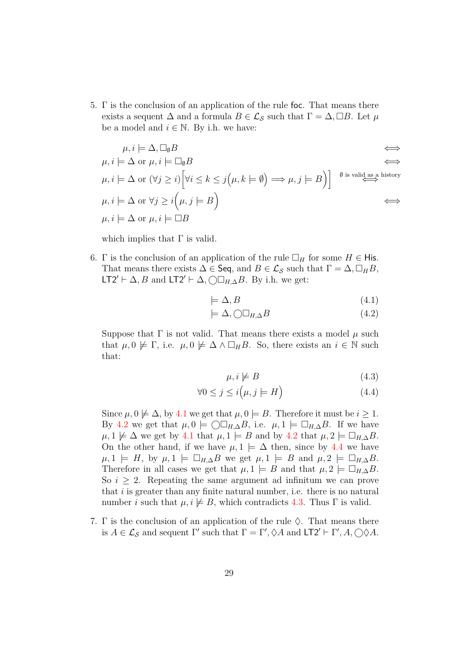5. Γ is the conclusion of an application of the rule foc. That means there exists a sequent  $\Delta$  and a formula  $B \in \mathcal{L}_{\mathcal{S}}$  such that  $\Gamma = \Delta, \Box B$ . Let  $\mu$ be a model and  $i \in \mathbb{N}$ . By i.h. we have:

$$
\mu, i \models \Delta, \Box_{\emptyset} B \iff
$$
\n
$$
\mu, i \models \Delta \text{ or } \mu, i \models \Box_{\emptyset} B \iff
$$
\n
$$
\mu, i \models \Delta \text{ or } (\forall j \ge i) \Big[\forall i \le k \le j(\mu, k \models \emptyset) \Longrightarrow \mu, j \models B\Big] \Big] \xrightarrow{\emptyset \text{ is valid as a history}}
$$
\n
$$
\mu, i \models \Delta \text{ or } \forall j \ge i(\mu, j \models B)
$$
\n
$$
\mu, i \models \Delta \text{ or } \mu, i \models \Box B \iff
$$

which implies that  $\Gamma$  is valid.

6. Γ is the conclusion of an application of the rule  $\Box_H$  for some  $H \in H$  is. That means there exists  $\Delta \in \mathsf{Seq}$ , and  $B \in \mathcal{L}_{\mathcal{S}}$  such that  $\Gamma = \Delta, \Box_H B$ , LT2'  $\vdash$   $\Delta$ *, B* and LT2'  $\vdash$   $\Delta$ *,*  $\bigcirc \Box_{H,\Delta} B$ *.* By i.h. we get:

<span id="page-35-1"></span><span id="page-35-0"></span>
$$
\models \Delta, B \tag{4.1}
$$

$$
\models \Delta, \bigcirc \Box_{H, \Delta} B \tag{4.2}
$$

Suppose that Γ is not valid. That means there exists a model *µ* such that  $\mu, 0 \not\models \Gamma$ , i.e.  $\mu, 0 \not\models \Delta \wedge \Box_H B$ . So, there exists an  $i \in \mathbb{N}$  such that:

<span id="page-35-3"></span><span id="page-35-2"></span>
$$
\mu, i \not\models B \tag{4.3}
$$

$$
\forall 0 \le j \le i \big(\mu, j \models H\big) \tag{4.4}
$$

Since  $\mu$ ,  $0 \not\models \Delta$ , by [4.1](#page-35-0) we get that  $\mu$ ,  $0 \models B$ . Therefore it must be  $i \geq 1$ . By [4.2](#page-35-1) we get that  $\mu, 0 \models \bigcirc \Box_{H, \Delta} B$ , i.e.  $\mu, 1 \models \Box_{H, \Delta} B$ . If we have  $\mu$ ,  $1 \not\models \Delta$  we get by [4.1](#page-35-0) that  $\mu$ ,  $1 \models B$  and by [4.2](#page-35-1) that  $\mu$ ,  $2 \models \Box_{H,\Delta} B$ . On the other hand, if we have  $\mu, 1 \models \Delta$  then, since by [4.4](#page-35-2) we have  $\mu$ ,  $1 \models H$ , by  $\mu$ ,  $1 \models \Box_{H,\Delta} B$  we get  $\mu$ ,  $1 \models B$  and  $\mu$ ,  $2 \models \Box_{H,\Delta} B$ . Therefore in all cases we get that  $\mu, 1 \models B$  and that  $\mu, 2 \models \Box_{H,\Delta}B$ . So  $i \geq 2$ . Repeating the same argument ad infinitum we can prove that *i* is greater than any finite natural number, i.e. there is no natural number *i* such that  $\mu, i \not\models B$ , which contradicts [4.3.](#page-35-3) Thus  $\Gamma$  is valid.

7. Γ is the conclusion of an application of the rule  $\Diamond$ . That means there is  $A \in \mathcal{L}_{\mathcal{S}}$  and sequent  $\Gamma'$  such that  $\Gamma = \Gamma', \Diamond A$  and  $\mathsf{LT2}' \vdash \Gamma', A, \bigcirc \Diamond A$ .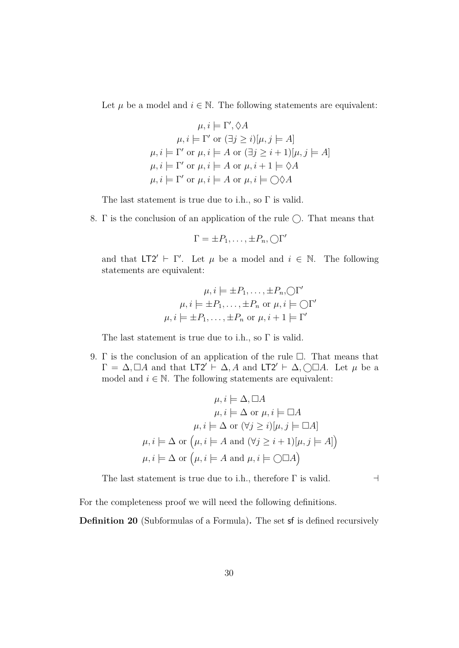Let  $\mu$  be a model and  $i \in \mathbb{N}$ . The following statements are equivalent:

$$
\mu, i \models \Gamma', \Diamond A
$$

$$
\mu, i \models \Gamma' \text{ or } (\exists j \ge i)[\mu, j \models A]
$$

$$
\mu, i \models \Gamma' \text{ or } \mu, i \models A \text{ or } (\exists j \ge i+1)[\mu, j \models A]
$$

$$
\mu, i \models \Gamma' \text{ or } \mu, i \models A \text{ or } \mu, i+1 \models \Diamond A
$$

$$
\mu, i \models \Gamma' \text{ or } \mu, i \models A \text{ or } \mu, i \models \bigcirc \Diamond A
$$

The last statement is true due to i.h., so  $\Gamma$  is valid.

8.  $\Gamma$  is the conclusion of an application of the rule  $\bigcirc$ . That means that

$$
\Gamma = \pm P_1, \ldots, \pm P_n, \bigcirc \Gamma'
$$

and that  $LT2' \vdash \Gamma'$ . Let  $\mu$  be a model and  $i \in \mathbb{N}$ . The following statements are equivalent:

$$
\mu, i \models \pm P_1, \dots, \pm P_n, \bigcirc \Gamma'
$$

$$
\mu, i \models \pm P_1, \dots, \pm P_n \text{ or } \mu, i \models \bigcirc \Gamma'
$$

$$
\mu, i \models \pm P_1, \dots, \pm P_n \text{ or } \mu, i + 1 \models \Gamma'
$$

The last statement is true due to i.h., so  $\Gamma$  is valid.

9. Γ is the conclusion of an application of the rule  $\Box$ . That means that  $\Gamma = \Delta, \Box A$  and that  $LT2' \vdash \Delta, A$  and  $LT2' \vdash \Delta, \Box \Box A$ . Let  $\mu$  be a model and  $i \in \mathbb{N}$ . The following statements are equivalent:

$$
\mu, i \models \Delta, \Box A
$$

$$
\mu, i \models \Delta \text{ or } \mu, i \models \Box A
$$

$$
\mu, i \models \Delta \text{ or } (\forall j \ge i)[\mu, j \models \Box A]
$$

$$
\mu, i \models \Delta \text{ or } (\mu, i \models A \text{ and } (\forall j \ge i+1)[\mu, j \models A])
$$

$$
\mu, i \models \Delta \text{ or } (\mu, i \models A \text{ and } \mu, i \models \Box \Box A)
$$

The last statement is true due to i.h., therefore  $\Gamma$  is valid.  $\Box$ 

For the completeness proof we will need the following definitions.

**Definition 20** (Subformulas of a Formula)**.** The set sf is defined recursively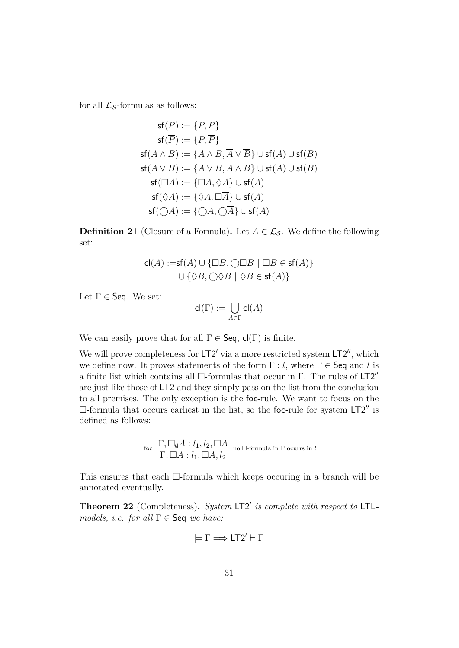for all  $\mathcal{L}_{\mathcal{S}}$ -formulas as follows:

$$
\mathsf{sf}(P) := \{P, \overline{P}\} \n\mathsf{sf}(\overline{P}) := \{P, \overline{P}\} \n\mathsf{sf}(A \land B) := \{A \land B, \overline{A} \lor \overline{B}\} \cup \mathsf{sf}(A) \cup \mathsf{sf}(B) \n\mathsf{sf}(A \lor B) := \{A \lor B, \overline{A} \land \overline{B}\} \cup \mathsf{sf}(A) \cup \mathsf{sf}(B) \n\mathsf{sf}(\Box A) := \{\Box A, \Diamond \overline{A}\} \cup \mathsf{sf}(A) \n\mathsf{sf}(\Diamond A) := \{\Diamond A, \Box \overline{A}\} \cup \mathsf{sf}(A) \n\mathsf{sf}(\bigcirc A) := \{\bigcirc A, \bigcirc \overline{A}\} \cup \mathsf{sf}(A)
$$

**Definition 21** (Closure of a Formula). Let  $A \in \mathcal{L}_{\mathcal{S}}$ . We define the following set:

$$
cl(A) := sf(A) \cup \{\Box B, \bigcirc \Box B \mid \Box B \in sf(A)\}
$$

$$
\cup \{\Diamond B, \bigcirc \Diamond B \mid \Diamond B \in sf(A)\}
$$

Let  $\Gamma \in \mathsf{Seq}$ . We set:

$$
\mathsf{cl}(\Gamma) := \bigcup_{A \in \Gamma} \mathsf{cl}(A)
$$

We can easily prove that for all  $\Gamma \in \mathsf{Seq}$ ,  $\mathsf{cl}(\Gamma)$  is finite.

We will prove completeness for  $LT2'$  via a more restricted system  $LT2''$ , which we define now. It proves statements of the form  $\Gamma : l$ , where  $\Gamma \in \mathsf{Seq}$  and *l* is a finite list which contains all  $\Box$ -formulas that occur in Γ. The rules of LT2" are just like those of LT2 and they simply pass on the list from the conclusion to all premises. The only exception is the foc-rule. We want to focus on the  $\Box$ -formula that occurs earliest in the list, so the foc-rule for system  $LT2''$  is defined as follows:

$$
\text{foc } \frac{\Gamma, \Box_0 A: l_1, l_2, \Box A}{\Gamma, \Box A: l_1, \Box A, l_2}
$$
no  $\Box$ -formula in  $\Gamma$  occurs in  $l_1$ 

This ensures that each  $\Box$ -formula which keeps occuring in a branch will be annotated eventually.

<span id="page-37-0"></span>Theorem 22 (Completeness). System LT2' is complete with respect to LTL*models, i.e. for all* Γ ∈ Seq *we have:*

$$
\models \Gamma \Longrightarrow \mathsf{LT2}' \vdash \Gamma
$$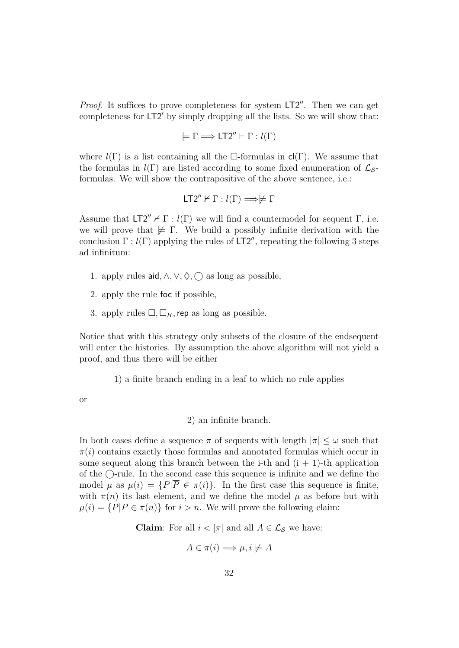*Proof.* It suffices to prove completeness for system LT2". Then we can get completeness for  $LT2'$  by simply dropping all the lists. So we will show that:

$$
\models \Gamma \Longrightarrow \mathsf{LT2''} \vdash \Gamma : l(\Gamma)
$$

where  $l(\Gamma)$  is a list containing all the  $\Box$ -formulas in  $cl(\Gamma)$ . We assume that the formulas in  $l(\Gamma)$  are listed according to some fixed enumeration of  $\mathcal{L}_{S}$ formulas. We will show the contrapositive of the above sentence, i.e.:

$$
\mathsf{LT2}'' \nvdash \Gamma : l(\Gamma) \Longrightarrow \not\models \Gamma
$$

Assume that  $LT2'' \nvdash \Gamma : l(\Gamma)$  we will find a countermodel for sequent  $\Gamma$ , i.e. we will prove that  $\not\models \Gamma$ . We build a possibly infinite derivation with the conclusion  $\Gamma$ :  $l(\Gamma)$  applying the rules of LT2'', repeating the following 3 steps ad infinitum:

- <span id="page-38-0"></span>1. apply rules aid,  $\land$ ,  $\lor$ ,  $\Diamond$ ,  $\bigcap$  as long as possible,
- 2. apply the rule foc if possible,
- 3. apply rules  $\Box$ ,  $\Box_H$ , rep as long as possible.

Notice that with this strategy only subsets of the closure of the endsequent will enter the histories. By assumption the above algorithm will not yield a proof, and thus there will be either

1) a finite branch ending in a leaf to which no rule applies

or

#### 2) an infinite branch.

In both cases define a sequence  $\pi$  of sequents with length  $|\pi| \leq \omega$  such that  $\pi(i)$  contains exactly those formulas and annotated formulas which occur in some sequent along this branch between the i-th and  $(i + 1)$ -th application of the  $\bigcirc$ -rule. In the second case this sequence is infinite and we define the model  $\mu$  as  $\mu(i) = \{P|\overline{P} \in \pi(i)\}\$ . In the first case this sequence is finite, with  $\pi(n)$  its last element, and we define the model  $\mu$  as before but with  $\mu(i) = \{P|\overline{P} \in \pi(n)\}\$  for  $i > n$ . We will prove the following claim:

**Claim**: For all  $i < |\pi|$  and all  $A \in \mathcal{L}_{\mathcal{S}}$  we have:

$$
A \in \pi(i) \Longrightarrow \mu, i \not\models A
$$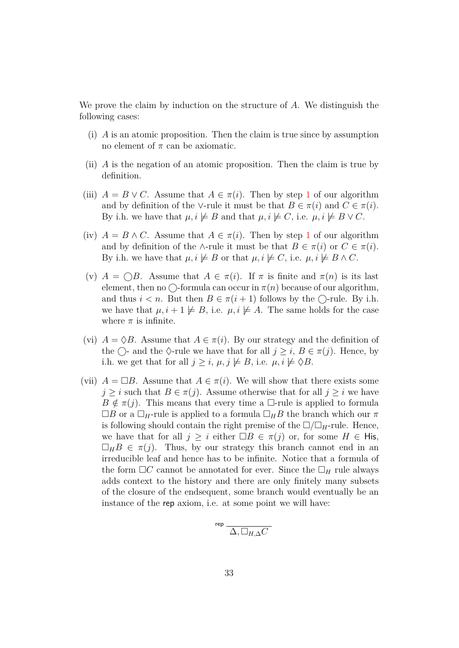We prove the claim by induction on the structure of *A*. We distinguish the following cases:

- (i) *A* is an atomic proposition. Then the claim is true since by assumption no element of  $\pi$  can be axiomatic.
- (ii) *A* is the negation of an atomic proposition. Then the claim is true by definition.
- (iii)  $A = B \vee C$ . Assume that  $A \in \pi(i)$ . Then by step [1](#page-38-0) of our algorithm and by definition of the ∨-rule it must be that  $B \in \pi(i)$  and  $C \in \pi(i)$ . By i.h. we have that  $\mu, i \not\models B$  and that  $\mu, i \not\models C$ , i.e.  $\mu, i \not\models B \vee C$ .
- (iv)  $A = B \wedge C$ . Assume that  $A \in \pi(i)$ . Then by step [1](#page-38-0) of our algorithm and by definition of the ∧-rule it must be that  $B \in \pi(i)$  or  $C \in \pi(i)$ . By i.h. we have that  $\mu, i \not\models B$  or that  $\mu, i \not\models C$ , i.e.  $\mu, i \not\models B \land C$ .
- (v)  $A = \bigcap B$ . Assume that  $A \in \pi(i)$ . If  $\pi$  is finite and  $\pi(n)$  is its last element, then no  $\bigcirc$ -formula can occur in  $\pi(n)$  because of our algorithm, and thus  $i < n$ . But then  $B \in \pi(i + 1)$  follows by the  $\bigcap$ -rule. By i.h. we have that  $\mu$ ,  $i + 1 \not\models B$ , i.e.  $\mu$ ,  $i \not\models A$ . The same holds for the case where  $\pi$  is infinite.
- (vi)  $A = \Diamond B$ . Assume that  $A \in \pi(i)$ . By our strategy and the definition of the  $\bigcap$ - and the  $\Diamond$ -rule we have that for all  $j \geq i$ ,  $B \in \pi(j)$ . Hence, by i.h. we get that for all  $j \geq i$ ,  $\mu, j \not\models B$ , i.e.  $\mu, i \not\models \Diamond B$ .
- (vii)  $A = \Box B$ . Assume that  $A \in \pi(i)$ . We will show that there exists some  $j \geq i$  such that  $B \in \pi(j)$ . Assume otherwise that for all  $j \geq i$  we have  $B \notin \pi(j)$ . This means that every time a  $\Box$ -rule is applied to formula  $\Box B$  or a  $\Box_H$ -rule is applied to a formula  $\Box_H B$  the branch which our  $\pi$ is following should contain the right premise of the  $\Box/\Box_H$ -rule. Hence, we have that for all  $j \geq i$  either  $\Box B \in \pi(j)$  or, for some  $H \in H$ is,  $\Box_H B \in \pi(j)$ . Thus, by our strategy this branch cannot end in an irreducible leaf and hence has to be infinite. Notice that a formula of the form  $\Box C$  cannot be annotated for ever. Since the  $\Box_H$  rule always adds context to the history and there are only finitely many subsets of the closure of the endsequent, some branch would eventually be an instance of the rep axiom, i.e. at some point we will have:

$$
^{\rm rep}\frac{}{\Delta,\Box_{H,\Delta}C}
$$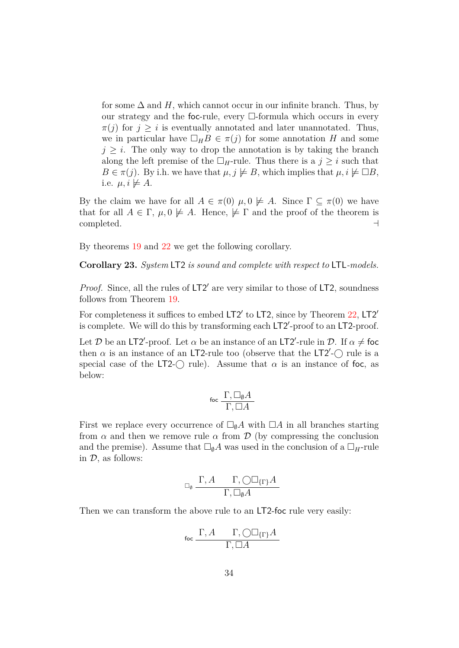for some  $\Delta$  and  $H$ , which cannot occur in our infinite branch. Thus, by our strategy and the foc-rule, every  $\Box$ -formula which occurs in every  $\pi(j)$  for  $j \geq i$  is eventually annotated and later unannotated. Thus, we in particular have  $\Box_H B \in \pi(j)$  for some annotation *H* and some  $j \geq i$ . The only way to drop the annotation is by taking the branch along the left premise of the  $\Box_H$ -rule. Thus there is a  $j \geq i$  such that  $B \in \pi(j)$ . By i.h. we have that  $\mu, j \not\models B$ , which implies that  $\mu, i \not\models \Box B$ , i.e.  $\mu, i \not\models A$ .

By the claim we have for all  $A \in \pi(0)$   $\mu$ ,  $0 \not\models A$ . Since  $\Gamma \subseteq \pi(0)$  we have that for all  $A \in \Gamma$ ,  $\mu$ ,  $0 \not\models A$ . Hence,  $\not\models \Gamma$  and the proof of the theorem is  $\Box$ completed.  $\Box$ 

By theorems [19](#page-33-0) and [22](#page-37-0) we get the following corollary.

**Corollary 23.** *System* LT2 *is sound and complete with respect to* LTL*-models.*

Proof. Since, all the rules of LT2' are very similar to those of LT2, soundness follows from Theorem [19.](#page-33-0)

For completeness it suffices to embed  $LT2'$  to  $LT2$ , since by Theorem  $22$ ,  $LT2'$ is complete. We will do this by transforming each LT2'-proof to an LT2-proof.

Let D be an LT2'-proof. Let  $\alpha$  be an instance of an LT2'-rule in D. If  $\alpha \neq \beta$ then  $\alpha$  is an instance of an LT2-rule too (observe that the LT2<sup>'</sup>- $\bigcirc$  rule is a special case of the LT2- $\bigcap$  rule). Assume that  $\alpha$  is an instance of foc, as below:

$$
\operatorname{foc}\frac{\Gamma,\Box_{\emptyset} A}{\Gamma,\Box A}
$$

First we replace every occurrence of  $\square_0 A$  with  $\square A$  in all branches starting from  $\alpha$  and then we remove rule  $\alpha$  from  $\mathcal D$  (by compressing the conclusion and the premise). Assume that  $\square_{\emptyset} A$  was used in the conclusion of a  $\square_H$ -rule in  $\mathcal{D}$ , as follows:

$$
\Box_{\theta} \; \frac{\Gamma, A \qquad \Gamma, \bigcirc \Box_{\{\Gamma\}} A}{\Gamma, \Box_{\theta} A}
$$

Then we can transform the above rule to an LT2-foc rule very easily:

$$
\operatorname{foc}\frac{\Gamma,A\qquad \Gamma,\bigcirc\Box_{\{\Gamma\}}A}{\Gamma,\Box A}
$$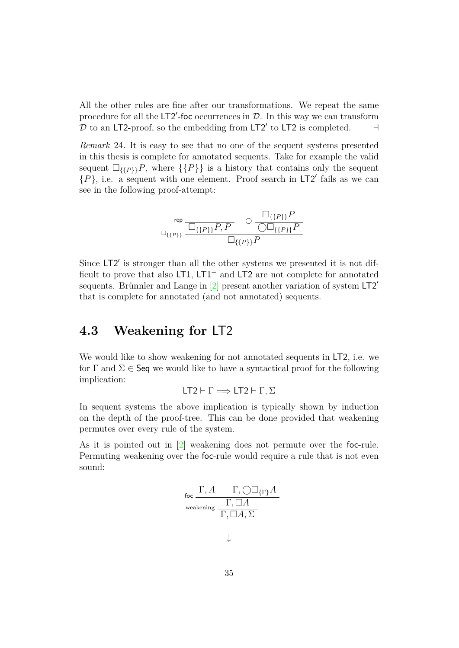<span id="page-41-1"></span>All the other rules are fine after our transformations. We repeat the same procedure for all the  $LT2'$ -foc occurrences in  $D$ . In this way we can transform  $\mathcal D$  to an LT2-proof, so the embedding from LT2' to LT2 is completed.  $\Box$ 

*Remark* 24*.* It is easy to see that no one of the sequent systems presented in this thesis is complete for annotated sequents. Take for example the valid sequent  $\Box_{\{\{P\}\}}$ , where  $\{\{P\}\}\$ is a history that contains only the sequent  $\{P\}$ , i.e. a sequent with one element. Proof search in LT2' fails as we can see in the following proof-attempt:

$$
\log\frac{\log\frac{\square_{\{\{P\}\}}P}{\square_{\{\{P\}\}}P,P}} \sim \frac{\square_{\{\{P\}\}}P}{\square_{\{\{P\}\}}P}
$$

Since LT2' is stronger than all the other systems we presented it is not difficult to prove that also  $LT1$ ,  $LT1^+$  and  $LT2$  are not complete for annotated sequents. Brünnler and Lange in  $\boxed{2}$  present another variation of system LT2<sup>'</sup> that is complete for annotated (and not annotated) sequents.

#### <span id="page-41-0"></span>**4.3 Weakening for** LT2

We would like to show weakening for not annotated sequents in LT2, i.e. we for  $\Gamma$  and  $\Sigma \in \mathsf{Seq}$  we would like to have a syntactical proof for the following implication:

$$
LT2 \vdash \Gamma \Longrightarrow LT2 \vdash \Gamma, \Sigma
$$

In sequent systems the above implication is typically shown by induction on the depth of the proof-tree. This can be done provided that weakening permutes over every rule of the system.

As it is pointed out in [\[2\]](#page-47-1) weakening does not permute over the foc-rule. Permuting weakening over the foc-rule would require a rule that is not even sound:

$$
\mathsf{foc}\xrightarrow{\Gamma, A} \frac{\Gamma, \bigcirc \Box_{\{\Gamma\}} A}{\Gamma, \Box A}
$$
  
weakening 
$$
\frac{\Gamma, \Box A}{\Gamma, \Box A, \Sigma}
$$

↓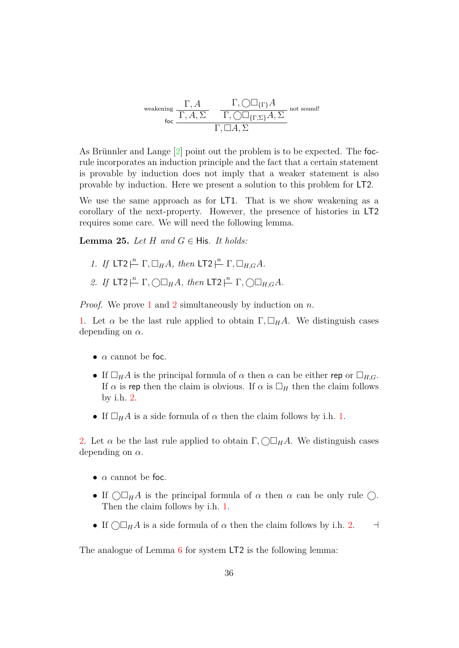<span id="page-42-3"></span>
$$
\text{weakening } \frac{\Gamma, A}{\Gamma, A, \Sigma} \quad \frac{\Gamma, \bigcirc \Box_{\{\Gamma\}} A}{\Gamma, \bigcirc \Box_{\{\Gamma, \Sigma\}} A, \Sigma} \text{ not sound!}
$$
\n
$$
\frac{\Gamma, \Box A, \Sigma}{\Gamma, \Box A, \Sigma}
$$

As Brünnler and Lange  $[2]$  point out the problem is to be expected. The focrule incorporates an induction principle and the fact that a certain statement is provable by induction does not imply that a weaker statement is also provable by induction. Here we present a solution to this problem for LT2.

We use the same approach as for LT1. That is we show weakening as a corollary of the next-property. However, the presence of histories in LT2 requires some care. We will need the following lemma.

<span id="page-42-2"></span>**Lemma 25.** *Let*  $H$  *and*  $G \in$  His. *It holds:* 

- <span id="page-42-0"></span>*1. If*  $LT2 \nightharpoonup^n \Gamma$ ,  $\Box_H A$ *, then*  $LT2 \nightharpoonup^n \Gamma$ ,  $\Box_{H,G} A$ *.*
- <span id="page-42-1"></span>*2. If*  $LT2 \xrightarrow{n} \Gamma$ ,  $\bigcirc \Box_H A$ *, then*  $LT2 \xrightarrow{n} \Gamma$ ,  $\bigcirc \Box_{H,G} A$ *.*

*Proof.* We prove [1](#page-42-0) and [2](#page-42-1) simultaneously by induction on *n*.

[1.](#page-42-0) Let  $\alpha$  be the last rule applied to obtain  $\Gamma$ ,  $\Box_H A$ . We distinguish cases depending on *α*.

- $\alpha$  cannot be foc.
- If  $\Box_H A$  is the principal formula of  $\alpha$  then  $\alpha$  can be either rep or  $\Box_{H,G}$ . If  $\alpha$  is rep then the claim is obvious. If  $\alpha$  is  $\Box_H$  then the claim follows by i.h. [2.](#page-42-1)
- If  $\Box_H A$  is a side formula of  $\alpha$  then the claim follows by i.h. [1.](#page-42-0)

[2.](#page-42-1) Let  $\alpha$  be the last rule applied to obtain  $\Gamma$ ,  $\Box H$ *A*. We distinguish cases depending on *α*.

- $\alpha$  cannot be foc.
- If  $\bigcap_{H} A$  is the principal formula of  $\alpha$  then  $\alpha$  can be only rule  $\bigcap$ . Then the claim follows by i.h. [1.](#page-42-0)
- If  $\bigcirc$   $\Box_H A$  is a side formula of  $\alpha$  then the claim follows by i.h. [2.](#page-42-1)

The analogue of Lemma [6](#page-15-2) for system LT2 is the following lemma: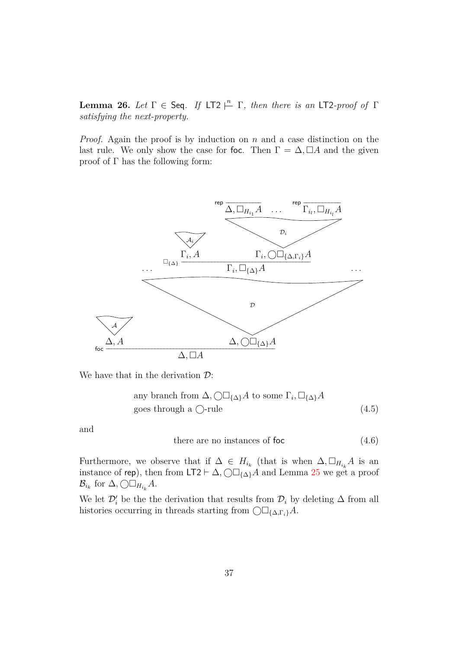<span id="page-43-2"></span>**Lemma 26.** *Let*  $\Gamma \in$  Seq. *If* LT2  $\stackrel{n}{\vdash}$   $\Gamma$ *, then there is an* LT2*-proof of*  $\Gamma$ *satisfying the next-property.*

*Proof.* Again the proof is by induction on *n* and a case distinction on the last rule. We only show the case for foc. Then  $\Gamma = \Delta$ ,  $\Box A$  and the given proof of Γ has the following form:



We have that in the derivation  $\mathcal{D}$ :

any branch from 
$$
\Delta
$$
,  $\bigcirc \Box_{\{\Delta\}} A$  to some  $\Gamma_i$ ,  $\Box_{\{\Delta\}} A$   
goes through a  $\bigcirc$ -rule (4.5)

and

<span id="page-43-1"></span><span id="page-43-0"></span>there are no instances of foc  $(4.6)$ 

Furthermore, we observe that if  $\Delta \in H_{i_k}$  (that is when  $\Delta, \Box_{H_{i_k}}A$  is an instance of rep), then from LT2  $\vdash \Delta$ ,  $\bigcirc \Box_{\{\Delta\}} A$  and Lemma [25](#page-42-2) we get a proof  $\mathcal{B}_{i_k}$  for  $\Delta$ *,*  $\bigcirc \Box_{H_{i_k}} A$ .

We let  $\mathcal{D}'_i$  be the the derivation that results from  $\mathcal{D}_i$  by deleting  $\Delta$  from all histories occurring in threads starting from {∆*,*Γ*i*}*A*.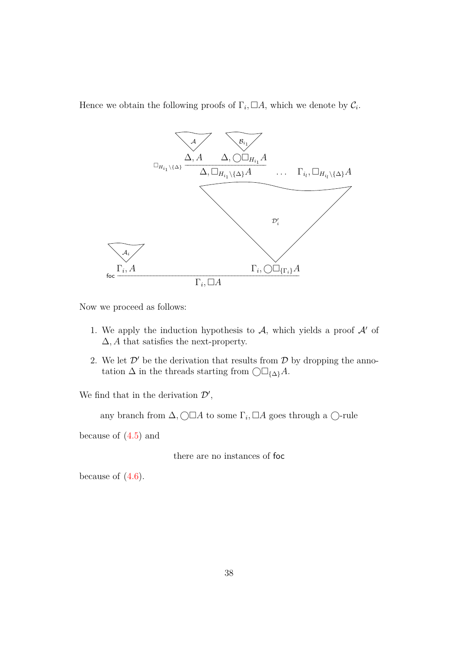Hence we obtain the following proofs of  $\Gamma_i$ ,  $\Box A$ , which we denote by  $\mathcal{C}_i$ .



Now we proceed as follows:

- 1. We apply the induction hypothesis to  $A$ , which yields a proof  $A'$  of ∆*, A* that satisfies the next-property.
- 2. We let  $\mathcal{D}'$  be the derivation that results from  $\mathcal D$  by dropping the annotation  $\Delta$  in the threads starting from  $\bigcirc \Box_{\{\Delta\}} A$ .

We find that in the derivation  $\mathcal{D}'$ ,

any branch from  $\Delta$ ,  $\Box \Box A$  to some  $\Gamma_i$ ,  $\Box A$  goes through a  $\Box$ -rule

because of [\(4.5\)](#page-43-0) and

there are no instances of foc

because of  $(4.6)$ .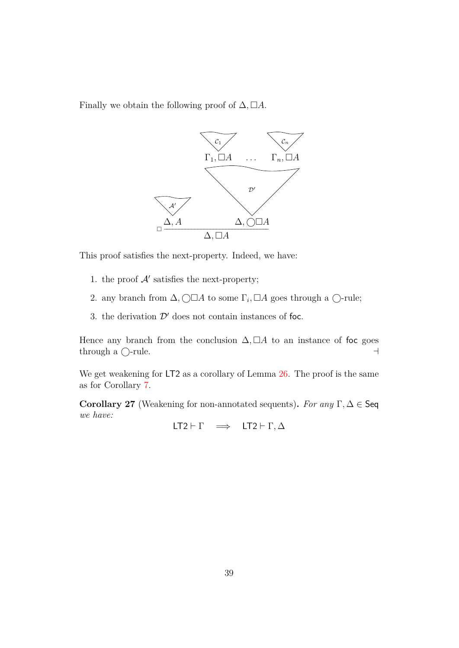Finally we obtain the following proof of  $\Delta$ ,  $\Box A$ .



This proof satisfies the next-property. Indeed, we have:

- 1. the proof  $A'$  satisfies the next-property;
- 2. any branch from  $\Delta$ ,  $\Box A$  to some  $\Gamma$ <sub>*i*</sub>,  $\Box A$  goes through a  $\Box$ -rule;
- 3. the derivation  $\mathcal{D}'$  does not contain instances of foc.

Hence any branch from the conclusion  $\Delta$ ,  $\Box A$  to an instance of foc goes  $\theta$  through a  $\bigcirc$ -rule.

We get weakening for LT2 as a corollary of Lemma  $26$ . The proof is the same as for Corollary [7.](#page-16-0)

**Corollary 27** (Weakening for non-annotated sequents). *For any*  $\Gamma, \Delta \in \mathsf{Seq}$ *we have:*

LT2  $\vdash \Gamma \implies \text{LT2} \vdash \Gamma, \Delta$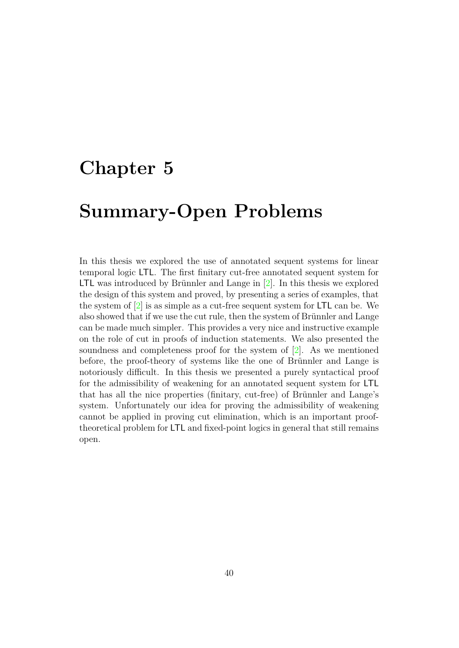### <span id="page-46-1"></span><span id="page-46-0"></span>**Chapter 5**

### **Summary-Open Problems**

In this thesis we explored the use of annotated sequent systems for linear temporal logic LTL. The first finitary cut-free annotated sequent system for LTL was introduced by Brünnler and Lange in  $[2]$ . In this thesis we explored the design of this system and proved, by presenting a series of examples, that the system of  $\boxed{2}$  is as simple as a cut-free sequent system for LTL can be. We also showed that if we use the cut rule, then the system of Brünnler and Lange can be made much simpler. This provides a very nice and instructive example on the role of cut in proofs of induction statements. We also presented the soundness and completeness proof for the system of [\[2\]](#page-47-1). As we mentioned before, the proof-theory of systems like the one of Brünnler and Lange is notoriously difficult. In this thesis we presented a purely syntactical proof for the admissibility of weakening for an annotated sequent system for LTL that has all the nice properties (finitary, cut-free) of Brünnler and Lange's system. Unfortunately our idea for proving the admissibility of weakening cannot be applied in proving cut elimination, which is an important prooftheoretical problem for LTL and fixed-point logics in general that still remains open.